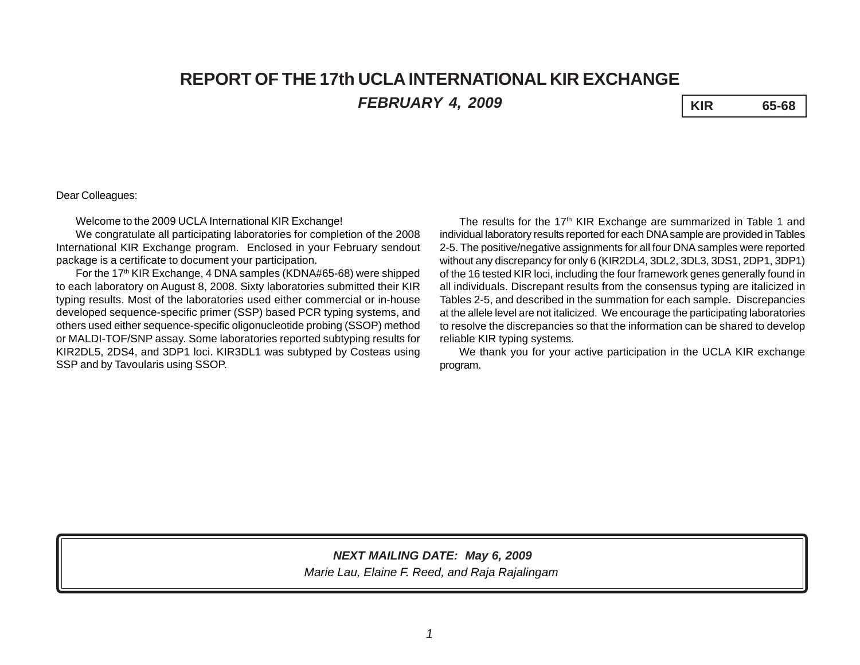# **REPORT OF THE 17th UCLA INTERNATIONAL KIR EXCHANGE** *FEBRUARY 4, 2009* **KIR 65-68**

#### Dear Colleagues:

Welcome to the 2009 UCLA International KIR Exchange!

We congratulate all participating laboratories for completion of the 2008 International KIR Exchange program. Enclosed in your February sendout package is a certificate to document your participation.

For the 17<sup>th</sup> KIR Exchange, 4 DNA samples (KDNA#65-68) were shipped to each laboratory on August 8, 2008. Sixty laboratories submitted their KIR typing results. Most of the laboratories used either commercial or in-house developed sequence-specific primer (SSP) based PCR typing systems, and others used either sequence-specific oligonucleotide probing (SSOP) method or MALDI-TOF/SNP assay. Some laboratories reported subtyping results for KIR2DL5, 2DS4, and 3DP1 loci. KIR3DL1 was subtyped by Costeas using SSP and by Tavoularis using SSOP.

The results for the  $17<sup>th</sup>$  KIR Exchange are summarized in Table 1 and individual laboratory results reported for each DNA sample are provided in Tables 2-5. The positive/negative assignments for all four DNA samples were reported without any discrepancy for only 6 (KIR2DL4, 3DL2, 3DL3, 3DS1, 2DP1, 3DP1) of the 16 tested KIR loci, including the four framework genes generally found in all individuals. Discrepant results from the consensus typing are italicized in Tables 2-5, and described in the summation for each sample. Discrepancies at the allele level are not italicized. We encourage the participating laboratories to resolve the discrepancies so that the information can be shared to develop reliable KIR typing systems.

We thank you for your active participation in the UCLA KIR exchange program.

## *NEXT MAILING DATE: May 6, 2009*

*Marie Lau, Elaine F. Reed, and Raja Rajalingam*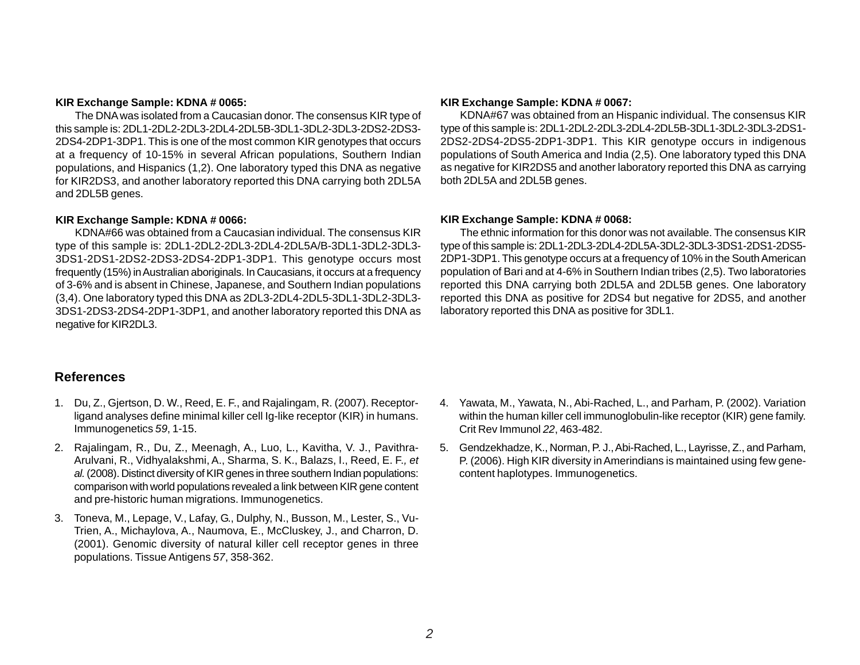#### **KIR Exchange Sample: KDNA # 0065:**

The DNA was isolated from a Caucasian donor. The consensus KIR type of this sample is: 2DL1-2DL2-2DL3-2DL4-2DL5B-3DL1-3DL2-3DL3-2DS2-2DS3- 2DS4-2DP1-3DP1. This is one of the most common KIR genotypes that occurs at a frequency of 10-15% in several African populations, Southern Indian populations, and Hispanics (1,2). One laboratory typed this DNA as negative for KIR2DS3, and another laboratory reported this DNA carrying both 2DL5A and 2DL5B genes.

#### **KIR Exchange Sample: KDNA # 0066:**

KDNA#66 was obtained from a Caucasian individual. The consensus KIR type of this sample is: 2DL1-2DL2-2DL3-2DL4-2DL5A/B-3DL1-3DL2-3DL3- 3DS1-2DS1-2DS2-2DS3-2DS4-2DP1-3DP1. This genotype occurs most frequently (15%) in Australian aboriginals. In Caucasians, it occurs at a frequency of 3-6% and is absent in Chinese, Japanese, and Southern Indian populations (3,4). One laboratory typed this DNA as 2DL3-2DL4-2DL5-3DL1-3DL2-3DL3- 3DS1-2DS3-2DS4-2DP1-3DP1, and another laboratory reported this DNA as negative for KIR2DL3.

#### **KIR Exchange Sample: KDNA # 0067:**

KDNA#67 was obtained from an Hispanic individual. The consensus KIR type of this sample is: 2DL1-2DL2-2DL3-2DL4-2DL5B-3DL1-3DL2-3DL3-2DS1- 2DS2-2DS4-2DS5-2DP1-3DP1. This KIR genotype occurs in indigenous populations of South America and India (2,5). One laboratory typed this DNA as negative for KIR2DS5 and another laboratory reported this DNA as carrying both 2DL5A and 2DL5B genes.

#### **KIR Exchange Sample: KDNA # 0068:**

The ethnic information for this donor was not available. The consensus KIR type of this sample is: 2DL1-2DL3-2DL4-2DL5A-3DL2-3DL3-3DS1-2DS1-2DS5- 2DP1-3DP1. This genotype occurs at a frequency of 10% in the South American population of Bari and at 4-6% in Southern Indian tribes (2,5). Two laboratories reported this DNA carrying both 2DL5A and 2DL5B genes. One laboratory reported this DNA as positive for 2DS4 but negative for 2DS5, and another laboratory reported this DNA as positive for 3DL1.

### **References**

- 1. Du, Z., Gjertson, D. W., Reed, E. F., and Rajalingam, R. (2007). Receptorligand analyses define minimal killer cell Ig-like receptor (KIR) in humans. Immunogenetics *59*, 1-15.
- 2. Rajalingam, R., Du, Z., Meenagh, A., Luo, L., Kavitha, V. J., Pavithra-Arulvani, R., Vidhyalakshmi, A., Sharma, S. K., Balazs, I., Reed, E. F.*, et al.* (2008). Distinct diversity of KIR genes in three southern Indian populations: comparison with world populations revealed a link between KIR gene content and pre-historic human migrations. Immunogenetics.
- 3. Toneva, M., Lepage, V., Lafay, G., Dulphy, N., Busson, M., Lester, S., Vu-Trien, A., Michaylova, A., Naumova, E., McCluskey, J., and Charron, D. (2001). Genomic diversity of natural killer cell receptor genes in three populations. Tissue Antigens *57*, 358-362.
- 4. Yawata, M., Yawata, N., Abi-Rached, L., and Parham, P. (2002). Variation within the human killer cell immunoglobulin-like receptor (KIR) gene family. Crit Rev Immunol *22*, 463-482.
- 5. Gendzekhadze, K., Norman, P. J., Abi-Rached, L., Layrisse, Z., and Parham, P. (2006). High KIR diversity in Amerindians is maintained using few genecontent haplotypes. Immunogenetics.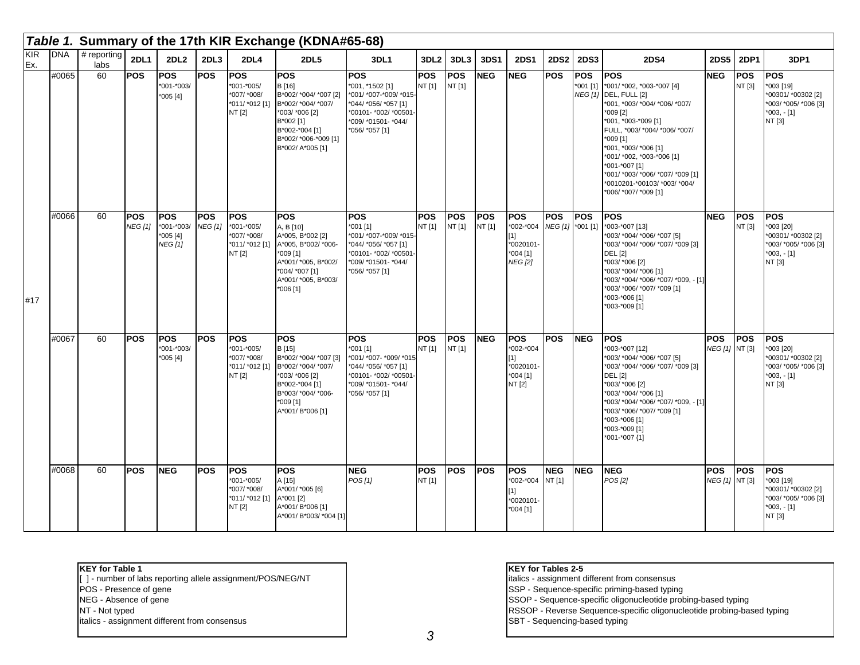|            |            |                       |                              |                                                 |                                  |                                                                        | Table 1. Summary of the 17th KIR Exchange (KDNA#65-68)                                                                                                                    |                                                                                                                                                  |                      |                      |                      |                                                                           |                                |                          |                                                                                                                                                                                                                                                                                                                                                     |                              |                      |                                                                                                 |
|------------|------------|-----------------------|------------------------------|-------------------------------------------------|----------------------------------|------------------------------------------------------------------------|---------------------------------------------------------------------------------------------------------------------------------------------------------------------------|--------------------------------------------------------------------------------------------------------------------------------------------------|----------------------|----------------------|----------------------|---------------------------------------------------------------------------|--------------------------------|--------------------------|-----------------------------------------------------------------------------------------------------------------------------------------------------------------------------------------------------------------------------------------------------------------------------------------------------------------------------------------------------|------------------------------|----------------------|-------------------------------------------------------------------------------------------------|
| KIR<br>Ex. | <b>DNA</b> | $#$ reporting<br>labs | <b>2DL1</b>                  | 2DL <sub>2</sub>                                | 2DL3                             | 2DL4                                                                   | 2DL5                                                                                                                                                                      | 3DL1                                                                                                                                             | 3DL <sub>2</sub>     | 3DL3                 | 3DS1                 | <b>2DS1</b>                                                               | <b>2DS2</b>                    | <b>2DS3</b>              | <b>2DS4</b>                                                                                                                                                                                                                                                                                                                                         | <b>2DS5</b>                  | <b>2DP1</b>          | 3DP1                                                                                            |
|            | #0065      | 60                    | <b>POS</b>                   | <b>POS</b><br>*001-*003/<br>*005 [4]            | POS                              | <b>POS</b><br>*001-*005/<br>*007/ *008/<br>*011/ *012 [1]<br>NT [2]    | <b>POS</b><br>B [16]<br>B*002/ *004/ *007 [2]<br>B*002/ *004/ *007/<br>*003/ *006 [2]<br>B*002 [1]<br>B*002-*004 [1]<br>B*002/ *006-*009 [1]<br>B*002/ A*005 [1]          | <b>POS</b><br>*001, *1502 [1]<br>*001/ *007-*009/ *015-<br>*044/ *056/ *057 [1]<br>*00101- *002/ *00501<br>*009/ *01501- *044/<br>*056/ *057 [1] | <b>POS</b><br>NT [1] | <b>POS</b><br>NT [1] | <b>NEG</b>           | <b>NEG</b>                                                                | <b>POS</b>                     | <b>POS</b><br>$*001$ [1] | <b>POS</b><br>*001/ *002, *003-*007 [4]<br>NEG [1] DEL, FULL [2]<br>*001, *003/ *004/ *006/ *007/<br>*009 [2]<br>*001, *003-*009 [1]<br>FULL, *003/ *004/ *006/ *007/<br>*009 [1]<br>*001, *003/ *006 [1]<br>*001/ *002, *003-*006 [1]<br>*001-*007 [1]<br>*001/ *003/ *006/ *007/ *009 [1]<br>*0010201-*00103/ *003/ *004/<br>*006/ *007/ *009 [1] | <b>NEG</b>                   | <b>POS</b><br>NT [3] | <b>POS</b><br>*003 [19]<br>*00301/ *00302 [2]<br>*003/ *005/ *006 [3]<br>*003, - [1]<br>NT [3]  |
| #17        | #0066      | 60                    | <b>POS</b><br><b>NEG [1]</b> | <b>POS</b><br>*001-*003/<br>*005 [4]<br>NEG [1] | <b>POS</b><br>NEG <sub>[1]</sub> | <b>POS</b><br>*001-*005/<br>*007/ *008/<br>NT [2]                      | <b>POS</b><br>A, B [10]<br>A*005, B*002 [2]<br>*011/ *012 [1] A*005, B*002/ *006-<br>*009 [1]<br>A*001/ *005, B*002/<br>*004/ *007 [1]<br>A*001/ *005, B*003/<br>*006 [1] | <b>POS</b><br>*001 [1]<br>*001/ *007-*009/ *015-<br>*044/ *056/ *057 [1]<br>*00101- *002/ *00501<br>*009/ *01501- *044/<br>*056/ *057 [1]        | <b>POS</b><br>NT [1] | <b>POS</b><br>NT [1] | <b>POS</b><br>NT [1] | <b>POS</b><br>*002-*004<br>[1]<br>*0020101-<br>*004 [1]<br><b>NEG</b> [2] | <b>POS</b><br>NEG [1] *001 [1] | <b>POS</b>               | <b>POS</b><br>*003-*007 [13]<br>*003/ *004/ *006/ *007 [5]<br>*003/ *004/ *006/ *007/ *009 [3]<br><b>DEL [2]</b><br>*003/ *006 [2]<br>*003/ *004/ *006 [1]<br>*003/ *004/ *006/ *007/ *009, - [1]<br>*003/ *006/ *007/ *009 [1]<br>*003-*006 [1]<br>*003-*009 [1]                                                                                   | <b>NEG</b>                   | <b>POS</b><br>NT [3] | <b>POS</b><br>*003 [20]<br>*00301/ *00302 [2]<br>*003/ *005/ *006 [3]<br>$*003, -[1]$<br>NT [3] |
|            | #0067      | 60                    | POS                          | <b>POS</b><br>*001-*003/<br>$*005[4]$           | POS                              | POS<br>*001-*005/<br>*007/ *008/<br>*011/ *012 [1]<br>NT [2]           | <b>POS</b><br>B [15]<br>B*002/ *004/ *007 [3]<br>B*002/ *004/ *007/<br>*003/ *006 [2]<br>B*002-*004 [1]<br>B*003/ *004/ *006-<br>$*009$ [1]<br>A*001/ B*006 [1]           | <b>POS</b><br>*001 [1]<br>*001/ *007- *009/ *015<br>*044/ *056/ *057 [1]<br>*00101- *002/ *00501<br>*009/ *01501- *044/<br>*056/ *057 [1]        | <b>POS</b><br>NT [1] | <b>POS</b><br>NT [1] | <b>NEG</b>           | <b>POS</b><br>*002-*004<br>$[1]$<br>*0020101-<br>*004 [1]<br>NT [2]       | <b>POS</b>                     | <b>NEG</b>               | <b>POS</b><br>*003-*007 [12]<br>*003/ *004/ *006/ *007 [5]<br>*003/ *004/ *006/ *007/ *009 [3]<br><b>DEL</b> [2]<br>*003/ *006 [2]<br>*003/ *004/ *006 [1]<br>*003/ *004/ *006/ *007/ *009, - [1]<br>*003/ *006/ *007/ *009 [1]<br>*003-*006 [1]<br>*003-*009 [1]<br>*001-*007 {1]                                                                  | <b>POS</b><br>NEG [1] NT [3] | <b>POS</b>           | <b>POS</b><br>1003 [20]<br>*00301/*00302 [2]<br>*003/ *005/ *006 [3]<br>$*003, -[1]$<br>NT [3]  |
|            | #0068      | 60                    | <b>POS</b>                   | <b>NEG</b>                                      | POS                              | POS<br>*001-*005/<br>*007/ *008/<br>*011/ *012 [1] A*001 [2]<br>NT [2] | <b>POS</b><br>A [15]<br>A*001/ *005 [6]<br>A*001/ B*006 [1]<br>A*001/ B*003/ *004 [1]                                                                                     | <b>NEG</b><br>POS[1]                                                                                                                             | <b>POS</b><br>NT [1] | <b>POS</b>           | <b>POS</b>           | <b>POS</b><br>*002-*004<br>$[1]$<br>*0020101<br>*004 [1]                  | <b>NEG</b><br>NT [1]           | <b>NEG</b>               | <b>NEG</b><br>POS [2]                                                                                                                                                                                                                                                                                                                               | <b>POS</b><br>NEG [1] NT [3] | <b>POS</b>           | <b>POS</b><br>*003 [19]<br>*00301/ *00302 [2]<br>*003/ *005/ *006 [3]<br>$*003, -[1]$<br>NT [3] |

**KEY for Table 1**

[ ] - number of labs reporting allele assignment/POS/NEG/NT POS - Presence of gene NEG - Absence of gene NT - Not typed

#### **KEY for Tables 2-5**

italics - assignment different from consensus

SSP - Sequence-specific priming-based typing

SSOP - Sequence-specific oligonucleotide probing-based typing

RSSOP - Reverse Sequence-specific oligonucleotide probing-based typing SBT - Sequencing-based typing

italics - assignment different from consensus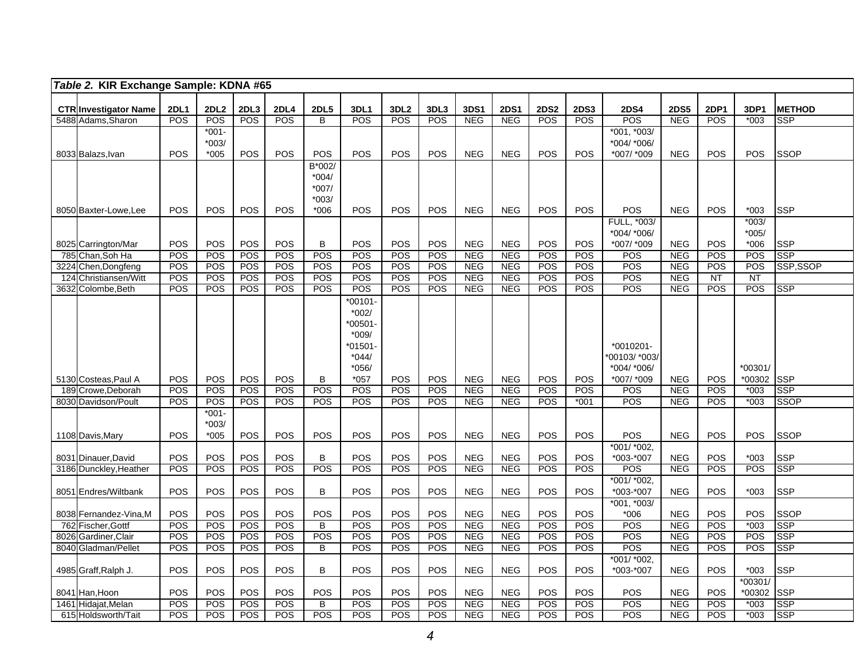|     | Table 2. KIR Exchange Sample: KDNA #65             |                           |                         |                         |             |                               |               |                                |                          |                           |                           |                           |                           |                           |                           |             |                  |                             |
|-----|----------------------------------------------------|---------------------------|-------------------------|-------------------------|-------------|-------------------------------|---------------|--------------------------------|--------------------------|---------------------------|---------------------------|---------------------------|---------------------------|---------------------------|---------------------------|-------------|------------------|-----------------------------|
|     |                                                    |                           |                         |                         |             |                               |               |                                |                          |                           |                           |                           |                           |                           |                           |             |                  |                             |
|     | <b>CTR</b> Investigator Name<br>5488 Adams, Sharon | <b>2DL1</b><br><b>POS</b> | 2DL <sub>2</sub><br>POS | 2DL <sub>3</sub><br>POS | 2DL4<br>POS | <b>2DL5</b><br>$\overline{B}$ | 3DL1<br>POS   | 3DL <sub>2</sub><br><b>POS</b> | 3DL3<br><b>POS</b>       | <b>3DS1</b><br><b>NEG</b> | <b>2DS1</b><br><b>NEG</b> | <b>2DS2</b><br><b>POS</b> | <b>2DS3</b><br><b>POS</b> | <b>2DS4</b><br><b>POS</b> | <b>2DS5</b><br><b>NEG</b> | 2DP1<br>POS | 3DP1<br>$*003$   | <b>METHOD</b><br><b>SSP</b> |
|     |                                                    |                           | $*001-$                 |                         |             |                               |               |                                |                          |                           |                           |                           |                           | *001. *003/               |                           |             |                  |                             |
|     |                                                    |                           | $*003/$                 |                         |             |                               |               |                                |                          |                           |                           |                           |                           | *004/ *006/               |                           |             |                  |                             |
|     | 8033 Balazs, Ivan                                  | <b>POS</b>                | $*005$                  | POS                     | POS         | POS                           | <b>POS</b>    | POS                            | <b>POS</b>               | <b>NEG</b>                | <b>NEG</b>                | POS                       | POS                       | *007/ *009                | <b>NEG</b>                | POS         | POS              | <b>SSOP</b>                 |
|     |                                                    |                           |                         |                         |             | B*002/                        |               |                                |                          |                           |                           |                           |                           |                           |                           |             |                  |                             |
|     |                                                    |                           |                         |                         |             | $*004/$                       |               |                                |                          |                           |                           |                           |                           |                           |                           |             |                  |                             |
|     |                                                    |                           |                         |                         |             | *007/                         |               |                                |                          |                           |                           |                           |                           |                           |                           |             |                  |                             |
|     |                                                    |                           |                         |                         |             | *003/                         |               |                                |                          |                           |                           |                           |                           |                           |                           |             |                  |                             |
|     | 8050 Baxter-Lowe.Lee                               | <b>POS</b>                | POS                     | POS                     | <b>POS</b>  | $*006$                        | <b>POS</b>    | POS                            | <b>POS</b>               | <b>NEG</b>                | <b>NEG</b>                | <b>POS</b>                | <b>POS</b>                | <b>POS</b>                | <b>NEG</b>                | <b>POS</b>  | $*003$           | <b>SSP</b>                  |
|     |                                                    |                           |                         |                         |             |                               |               |                                |                          |                           |                           |                           |                           | FULL, *003/               |                           |             | $*003/$          |                             |
|     |                                                    |                           |                         |                         |             |                               |               |                                |                          |                           |                           |                           |                           | *004/ *006/               |                           |             | $*005/$          |                             |
|     | 8025 Carrington/Mar<br>785 Chan, Soh Ha            | POS<br>POS                | POS<br>POS              | POS<br>POS              | POS<br>POS  | B<br>POS                      | POS<br>POS    | POS<br><b>POS</b>              | POS<br>POS               | <b>NEG</b><br><b>NEG</b>  | <b>NEG</b><br><b>NEG</b>  | POS<br>POS                | POS<br><b>POS</b>         | *007/ *009<br><b>POS</b>  | <b>NEG</b><br><b>NEG</b>  | POS<br>POS  | $*006$<br>POS    | <b>SSP</b><br><b>SSP</b>    |
|     | 3224 Chen, Dongfeng                                | POS                       | <b>POS</b>              | POS                     | POS         | POS                           | POS           | POS                            | POS                      | <b>NEG</b>                | <b>NEG</b>                | <b>POS</b>                | POS                       | POS                       | <b>NEG</b>                | POS         | <b>POS</b>       | SSP,SSOP                    |
| 124 | Christiansen/Witt                                  | POS                       | POS                     | <b>POS</b>              | POS         | POS                           | POS           | <b>POS</b>                     | POS                      | <b>NEG</b>                | <b>NEG</b>                | POS                       | POS                       | POS                       | <b>NEG</b>                | NT          | $\overline{NT}$  |                             |
|     | 3632 Colombe, Beth                                 | POS                       | POS                     | POS                     | POS         | POS                           | POS           | <b>POS</b>                     | <b>POS</b>               | <b>NEG</b>                | <b>NEG</b>                | POS                       | <b>POS</b>                | POS                       | <b>NEG</b>                | POS         | <b>POS</b>       | <b>SSP</b>                  |
|     |                                                    |                           |                         |                         |             |                               | $*00101$      |                                |                          |                           |                           |                           |                           |                           |                           |             |                  |                             |
|     |                                                    |                           |                         |                         |             |                               | $*002/$       |                                |                          |                           |                           |                           |                           |                           |                           |             |                  |                             |
|     |                                                    |                           |                         |                         |             |                               | *00501-       |                                |                          |                           |                           |                           |                           |                           |                           |             |                  |                             |
|     |                                                    |                           |                         |                         |             |                               | $*009/$       |                                |                          |                           |                           |                           |                           |                           |                           |             |                  |                             |
|     |                                                    |                           |                         |                         |             |                               | $*01501-$     |                                |                          |                           |                           |                           |                           | *0010201-                 |                           |             |                  |                             |
|     |                                                    |                           |                         |                         |             |                               | $*044/$       |                                |                          |                           |                           |                           |                           | 00103/ *003/              |                           |             |                  |                             |
|     |                                                    |                           |                         |                         |             |                               | $*056/$       |                                |                          |                           |                           |                           |                           | *004/ *006/               |                           |             | *00301/          |                             |
|     | 5130 Costeas, Paul A<br>189 Crowe, Deborah         | POS<br>POS                | POS<br>POS              | POS<br>POS              | POS<br>POS  | B<br>POS                      | $*057$<br>POS | <b>POS</b><br>POS              | <b>POS</b><br><b>POS</b> | <b>NEG</b><br><b>NEG</b>  | <b>NEG</b><br><b>NEG</b>  | POS<br>POS                | <b>POS</b><br>POS         | *007/ *009<br>POS         | <b>NEG</b><br><b>NEG</b>  | POS<br>POS  | *00302<br>$*003$ | <b>SSP</b><br>SSP           |
|     | 8030 Davidson/Poult                                | POS                       | POS                     | <b>POS</b>              | POS         | <b>POS</b>                    | POS           | POS                            | <b>POS</b>               | <b>NEG</b>                | <b>NEG</b>                | <b>POS</b>                | $*001$                    | POS                       | <b>NEG</b>                | POS         | $*003$           | <b>SSOP</b>                 |
|     |                                                    |                           | $*001 -$                |                         |             |                               |               |                                |                          |                           |                           |                           |                           |                           |                           |             |                  |                             |
|     |                                                    |                           | $*003/$                 |                         |             |                               |               |                                |                          |                           |                           |                           |                           |                           |                           |             |                  |                             |
|     | 1108 Davis, Mary                                   | <b>POS</b>                | $*005$                  | POS                     | POS         | POS                           | POS           | POS                            | <b>POS</b>               | <b>NEG</b>                | <b>NEG</b>                | <b>POS</b>                | POS                       | POS                       | <b>NEG</b>                | POS         | <b>POS</b>       | <b>SSOP</b>                 |
|     |                                                    |                           |                         |                         |             |                               |               |                                |                          |                           |                           |                           |                           | *001/ *002.               |                           |             |                  |                             |
|     | 8031 Dinauer, David                                | <b>POS</b>                | POS                     | POS                     | POS         | B                             | <b>POS</b>    | POS                            | <b>POS</b>               | <b>NEG</b>                | <b>NEG</b>                | <b>POS</b>                | POS                       | *003-*007                 | <b>NEG</b>                | <b>POS</b>  | $*003$           | <b>SSP</b>                  |
|     | 3186 Dunckley, Heather                             | POS                       | POS                     | POS                     | POS         | POS                           | POS           | POS                            | POS                      | <b>NEG</b>                | <b>NEG</b>                | POS                       | POS                       | POS                       | <b>NEG</b>                | POS         | POS              | <b>SSP</b>                  |
|     |                                                    |                           | POS                     | POS                     | POS         |                               |               | POS                            | POS                      |                           |                           | POS                       |                           | *001/ *002,               |                           |             |                  | <b>SSP</b>                  |
|     | 8051 Endres/Wiltbank                               | POS                       |                         |                         |             | B                             | POS           |                                |                          | <b>NEG</b>                | <b>NEG</b>                |                           | POS                       | *003-*007<br>*001, *003/  | <b>NEG</b>                | POS         | $*003$           |                             |
|     | 8038 Fernandez-Vina, M                             | <b>POS</b>                | POS                     | POS                     | POS         | POS                           | POS           | POS                            | POS                      | <b>NEG</b>                | <b>NEG</b>                | POS                       | POS                       | $*006$                    | <b>NEG</b>                | POS         | POS              | <b>SSOP</b>                 |
|     | 762 Fischer, Gottf                                 | POS                       | POS                     | POS                     | POS         | B                             | POS           | POS                            | <b>POS</b>               | <b>NEG</b>                | <b>NEG</b>                | POS                       | POS                       | POS                       | <b>NEG</b>                | POS         | $*003$           | <b>SSP</b>                  |
|     | 8026 Gardiner, Clair                               | POS                       | POS                     | POS                     | POS         | POS                           | POS           | POS                            | <b>POS</b>               | <b>NEG</b>                | <b>NEG</b>                | POS                       | POS                       | POS                       | <b>NEG</b>                | POS         | POS              | <b>SSP</b>                  |
|     | 8040 Gladman/Pellet                                | POS                       | POS                     | POS                     | POS         | B                             | POS           | POS                            | POS                      | <b>NEG</b>                | <b>NEG</b>                | POS                       | POS                       | POS                       | <b>NEG</b>                | POS         | POS              | <b>SSP</b>                  |
|     |                                                    |                           |                         |                         |             |                               |               |                                |                          |                           |                           |                           |                           | *001/ *002,               |                           |             |                  |                             |
|     | 4985 Graff, Ralph J.                               | <b>POS</b>                | POS                     | POS                     | POS         | B                             | <b>POS</b>    | <b>POS</b>                     | <b>POS</b>               | <b>NEG</b>                | <b>NEG</b>                | <b>POS</b>                | <b>POS</b>                | *003-*007                 | <b>NEG</b>                | POS         | $*003$           | <b>SSP</b>                  |
|     |                                                    |                           |                         |                         |             |                               |               |                                |                          |                           |                           |                           |                           |                           |                           |             | *00301/          |                             |
|     | 8041 Han, Hoon                                     | <b>POS</b><br>POS         | POS                     | POS                     | POS<br>POS  | POS                           | POS<br>POS    | <b>POS</b><br>POS              | POS<br><b>POS</b>        | <b>NEG</b><br><b>NEG</b>  | <b>NEG</b>                | POS<br>POS                | POS<br>POS                | POS<br>POS                | <b>NEG</b>                | POS         | *00302           | <b>SSP</b><br><b>SSP</b>    |
|     | 1461 Hidajat, Melan<br>615 Holdsworth/Tait         | POS                       | POS<br>POS              | POS<br>POS              | POS         | B<br>POS                      | POS           | POS                            | POS                      | <b>NEG</b>                | <b>NEG</b><br><b>NEG</b>  | POS                       | POS                       | POS                       | <b>NEG</b><br><b>NEG</b>  | POS<br>POS  | $*003$<br>$*003$ | <b>SSP</b>                  |
|     |                                                    |                           |                         |                         |             |                               |               |                                |                          |                           |                           |                           |                           |                           |                           |             |                  |                             |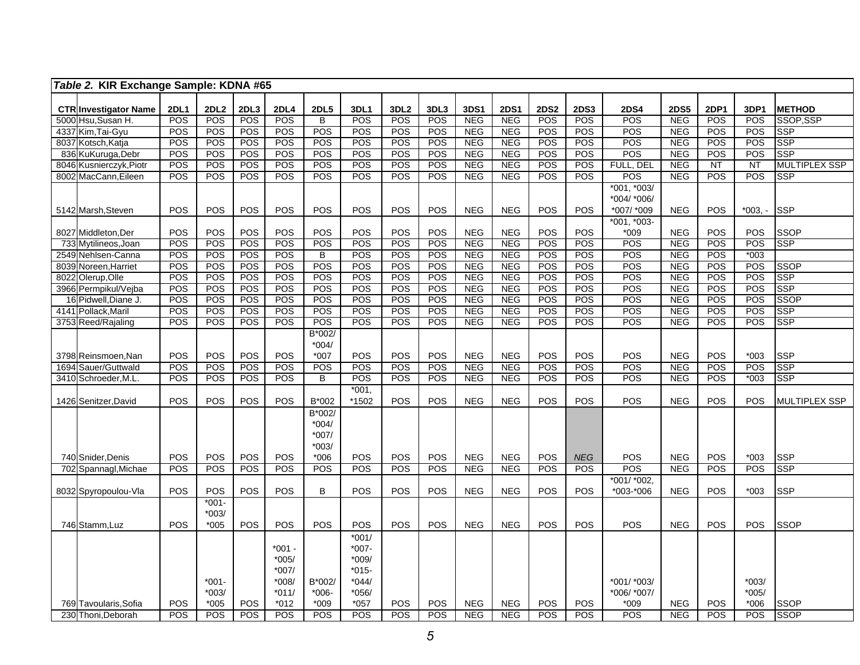|      | Table 2. KIR Exchange Sample: KDNA #65             |                    |                         |                    |                           |                      |                    |                                |                    |                          |                           |                           |                          |                    |                          |                    |                        |                            |
|------|----------------------------------------------------|--------------------|-------------------------|--------------------|---------------------------|----------------------|--------------------|--------------------------------|--------------------|--------------------------|---------------------------|---------------------------|--------------------------|--------------------|--------------------------|--------------------|------------------------|----------------------------|
|      |                                                    |                    |                         |                    |                           |                      |                    |                                |                    |                          |                           |                           |                          |                    |                          |                    |                        |                            |
|      | <b>CTR Investigator Name</b><br>5000 Hsu, Susan H. | <b>2DL1</b><br>POS | 2DL <sub>2</sub><br>POS | 2DL3<br><b>POS</b> | <b>2DL4</b><br><b>POS</b> | <b>2DL5</b><br>B     | 3DL1<br><b>POS</b> | 3DL <sub>2</sub><br><b>POS</b> | 3DL3<br><b>POS</b> | 3DS1<br><b>NEG</b>       | <b>2DS1</b><br><b>NEG</b> | <b>2DS2</b><br><b>POS</b> | <b>2DS3</b><br>POS       | <b>2DS4</b><br>POS | <b>2DS5</b><br>NEG       | 2DP1<br><b>POS</b> | 3DP1<br><b>POS</b>     | <b>METHOD</b><br>SSOP.SSP  |
|      | 4337 Kim, Tai-Gyu                                  | POS                | POS                     | POS                | POS                       | POS                  | POS                | POS                            | POS                | <b>NEG</b>               | <b>NEG</b>                | POS                       | POS                      | POS                | <b>NEG</b>               | POS                | <b>POS</b>             | <b>SSP</b>                 |
|      | 8037 Kotsch, Katja                                 | POS                | POS                     | POS                | POS                       | POS                  | POS                | POS                            | POS                | <b>NEG</b>               | <b>NEG</b>                | POS                       | POS                      | <b>POS</b>         | <b>NEG</b>               | POS                | POS                    | <b>SSP</b>                 |
| 836  | KuKuruga, Debr                                     | POS                | POS                     | POS                | POS                       | POS                  | POS                | POS                            | POS                | <b>NEG</b>               | <b>NEG</b>                | POS                       | POS                      | POS                | <b>NEG</b>               | POS                | POS                    | <b>SSP</b>                 |
|      | 8046 Kusnierczyk, Piotr                            | <b>POS</b>         | <b>POS</b>              | POS                | POS                       | <b>POS</b>           | POS                | POS                            | POS                | <b>NEG</b>               | <b>NEG</b>                | POS                       | POS                      | FULL, DEL          | <b>NEG</b>               | NT                 | $\overline{\text{NT}}$ | <b>MULTIPLEX SSP</b>       |
|      | 8002 MacCann, Eileen                               | POS                | POS                     | POS                | POS                       | POS                  | POS                | POS                            | POS                | NEG                      | <b>NEG</b>                | POS                       | <b>POS</b>               | $\overline{POS}$   | NEG                      | POS                | POS                    | <b>SSP</b>                 |
|      |                                                    |                    |                         |                    |                           |                      |                    |                                |                    |                          |                           |                           |                          | *001, *003/        |                          |                    |                        |                            |
|      |                                                    |                    |                         |                    |                           |                      |                    |                                |                    |                          |                           |                           |                          | *004/ *006/        |                          |                    |                        |                            |
|      | 5142 Marsh, Steven                                 | POS                | POS                     | POS                | POS                       | POS                  | POS                | POS                            | POS                | <b>NEG</b>               | <b>NEG</b>                | POS                       | POS                      | *007/ *009         | <b>NEG</b>               | POS                | *003. -                | <b>SSP</b>                 |
|      |                                                    |                    |                         |                    |                           |                      |                    |                                |                    |                          |                           |                           |                          | *001, *003-        |                          |                    |                        |                            |
|      | 8027 Middleton, Der                                | POS                | POS                     | <b>POS</b>         | POS                       | POS                  | POS                | POS                            | POS                | <b>NEG</b>               | <b>NEG</b>                | POS                       | <b>POS</b>               | $*009$             | <b>NEG</b>               | POS                | <b>POS</b>             | <b>SSOP</b>                |
|      | 733 Mytilineos, Joan                               | POS                | POS                     | POS                | POS                       | POS                  | POS                | POS                            | <b>POS</b>         | <b>NEG</b>               | NEG                       | POS                       | POS                      | POS                | NEG                      | POS                | POS                    | <b>SSP</b>                 |
|      | 2549 Nehlsen-Canna                                 | POS                | POS                     | POS                | POS                       | B                    | POS                | POS                            | <b>POS</b>         | <b>NEG</b>               | <b>NEG</b>                | POS                       | <b>POS</b>               | POS                | <b>NEG</b>               | <b>POS</b>         | $*003$                 |                            |
|      | 8039 Noreen, Harriet                               | POS<br>POS         | POS<br>POS              | POS<br>POS         | POS<br>POS                | POS<br>POS           | POS<br>POS         | POS<br>POS                     | <b>POS</b><br>POS  | <b>NEG</b><br><b>NEG</b> | <b>NEG</b><br><b>NEG</b>  | POS<br>POS                | POS<br>POS               | POS<br>POS         | <b>NEG</b><br><b>NEG</b> | POS<br>POS         | POS<br>POS             | <b>SSOP</b><br><b>SSP</b>  |
|      | 8022 Olerup, Olle<br>3966 Permpikul/Vejba          | POS                | POS                     | POS                | POS                       | POS                  | POS                | POS                            | POS                | <b>NEG</b>               | <b>NEG</b>                | POS                       | POS                      | POS                | <b>NEG</b>               | POS                | POS                    | <b>SSP</b>                 |
| 16   | Pidwell, Diane J.                                  | POS                | POS                     | POS                | POS                       | POS                  | POS                | POS                            | POS                | <b>NEG</b>               | <b>NEG</b>                | POS                       | POS                      | POS                | <b>NEG</b>               | POS                | POS                    | SSOP                       |
|      | 4141 Pollack, Maril                                | POS                | POS                     | POS                | POS                       | POS                  | POS                | POS                            | <b>POS</b>         | <b>NEG</b>               | <b>NEG</b>                | POS                       | <b>POS</b>               | POS                | <b>NEG</b>               | POS                | POS                    | <b>SSP</b>                 |
|      | 3753 Reed/Rajaling                                 | POS                | POS                     | <b>POS</b>         | POS                       | POS                  | POS                | POS                            | POS                | <b>NEG</b>               | <b>NEG</b>                | POS                       | <b>POS</b>               | POS                | <b>NEG</b>               | POS                | POS                    | <b>SSP</b>                 |
|      |                                                    |                    |                         |                    |                           | B*002/               |                    |                                |                    |                          |                           |                           |                          |                    |                          |                    |                        |                            |
|      |                                                    |                    |                         |                    |                           | $*004/$              |                    |                                |                    |                          |                           |                           |                          |                    |                          |                    |                        |                            |
|      | 3798 Reinsmoen, Nan                                | POS                | POS                     | POS                | POS                       | $*007$               | POS                | POS                            | POS                | <b>NEG</b>               | <b>NEG</b>                | POS                       | POS                      | POS                | <b>NEG</b>               | POS                | $*003$                 | <b>SSP</b>                 |
| 1694 | Sauer/Guttwald                                     | POS                | POS                     | POS                | POS                       | POS                  | POS                | POS                            | POS                | <b>NEG</b>               | <b>NEG</b>                | POS                       | POS                      | POS                | <b>NEG</b>               | POS                | POS                    | <b>SSP</b>                 |
|      | 3410 Schroeder, M.L.                               | POS                | <b>POS</b>              | <b>POS</b>         | <b>POS</b>                | B                    | POS                | POS                            | <b>POS</b>         | <b>NEG</b>               | <b>NEG</b>                | POS                       | <b>POS</b>               | POS                | <b>NEG</b>               | POS                | $*003$                 | <b>SSP</b>                 |
|      |                                                    |                    |                         |                    |                           |                      | $*001,$            |                                |                    |                          |                           |                           |                          |                    |                          |                    |                        |                            |
|      | 1426 Senitzer, David                               | POS                | <b>POS</b>              | POS                | <b>POS</b>                | B*002                | *1502              | POS                            | POS                | <b>NEG</b>               | <b>NEG</b>                | POS                       | POS                      | POS                | <b>NEG</b>               | POS                | POS                    | <b>MULTIPLEX SSP</b>       |
|      |                                                    |                    |                         |                    |                           | B*002/               |                    |                                |                    |                          |                           |                           |                          |                    |                          |                    |                        |                            |
|      |                                                    |                    |                         |                    |                           | $*004/$              |                    |                                |                    |                          |                           |                           |                          |                    |                          |                    |                        |                            |
|      |                                                    |                    |                         |                    |                           | $*007/$<br>$*003/$   |                    |                                |                    |                          |                           |                           |                          |                    |                          |                    |                        |                            |
|      | 740 Snider, Denis                                  | POS                | POS                     | POS                | POS                       | $*006$               | POS                | POS                            | POS                | <b>NEG</b>               | <b>NEG</b>                | POS                       | <b>NEG</b>               | POS                | <b>NEG</b>               | POS                | $*003$                 | <b>SSP</b>                 |
| 702  | Spannagl, Michae                                   | POS                | POS                     | POS                | POS                       | POS                  | POS                | POS                            | POS                | <b>NEG</b>               | NEG                       | POS                       | <b>POS</b>               | POS                | NEG                      | POS                | POS                    | <b>SSP</b>                 |
|      |                                                    |                    |                         |                    |                           |                      |                    |                                |                    |                          |                           |                           |                          | *001/ *002,        |                          |                    |                        |                            |
|      | 8032 Spyropoulou-Vla                               | POS                | POS                     | POS                | POS                       | B                    | POS                | POS                            | POS                | <b>NEG</b>               | <b>NEG</b>                | POS                       | POS                      | *003-*006          | <b>NEG</b>               | POS                | $*003$                 | <b>SSP</b>                 |
|      |                                                    |                    | $*001-$                 |                    |                           |                      |                    |                                |                    |                          |                           |                           |                          |                    |                          |                    |                        |                            |
|      |                                                    |                    | $*003/$                 |                    |                           |                      |                    |                                |                    |                          |                           |                           |                          |                    |                          |                    |                        |                            |
|      | 746 Stamm, Luz                                     | <b>POS</b>         | $*005$                  | POS                | <b>POS</b>                | <b>POS</b>           | POS                | POS                            | <b>POS</b>         | <b>NEG</b>               | <b>NEG</b>                | POS                       | <b>POS</b>               | <b>POS</b>         | <b>NEG</b>               | POS                | POS                    | <b>SSOP</b>                |
|      |                                                    |                    |                         |                    |                           |                      | $*001/$            |                                |                    |                          |                           |                           |                          |                    |                          |                    |                        |                            |
|      |                                                    |                    |                         |                    | $*001 -$                  |                      | $*007-$            |                                |                    |                          |                           |                           |                          |                    |                          |                    |                        |                            |
|      |                                                    |                    |                         |                    | $*005/$                   |                      | $*009/$            |                                |                    |                          |                           |                           |                          |                    |                          |                    |                        |                            |
|      |                                                    |                    |                         |                    | *007/                     |                      | $*015-$            |                                |                    |                          |                           |                           |                          |                    |                          |                    |                        |                            |
|      |                                                    |                    | *001-                   |                    | *008/                     | B*002/               | $*044/$            |                                |                    |                          |                           |                           |                          | *001/ *003/        |                          |                    | $*003/$                |                            |
|      |                                                    |                    | *003/                   |                    | $*011/$                   | $*006-$              | $*056/$            | POS                            |                    |                          |                           | POS                       |                          | *006/ *007/        |                          |                    | $*005/$                |                            |
|      | 769 Tavoularis, Sofia<br>230 Thoni, Deborah        | POS<br>POS         | $*005$<br><b>POS</b>    | <b>POS</b><br>POS  | $*012$<br>POS             | $*009$<br><b>POS</b> | $*057$<br>POS      | POS                            | POS<br><b>POS</b>  | <b>NEG</b><br><b>NEG</b> | <b>NEG</b><br><b>NEG</b>  | POS                       | <b>POS</b><br><b>POS</b> | $*009$<br>POS      | <b>NEG</b><br><b>NEG</b> | POS<br>POS         | $*006$<br><b>POS</b>   | <b>SSOP</b><br><b>SSOP</b> |
|      |                                                    |                    |                         |                    |                           |                      |                    |                                |                    |                          |                           |                           |                          |                    |                          |                    |                        |                            |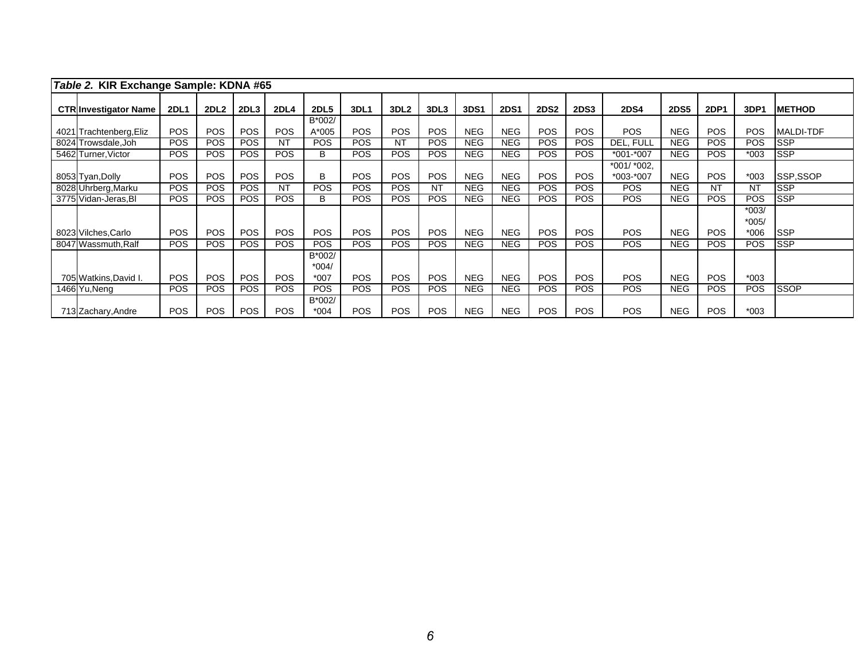| Table 2. KIR Exchange Sample: KDNA #65 |             |                  |            |             |                             |             |                  |            |            |             |             |             |                            |             |             |                              |                  |
|----------------------------------------|-------------|------------------|------------|-------------|-----------------------------|-------------|------------------|------------|------------|-------------|-------------|-------------|----------------------------|-------------|-------------|------------------------------|------------------|
| <b>CTRIInvestigator Name</b>           | <b>2DL1</b> | 2DL <sub>2</sub> | 2DL3       | <b>2DL4</b> | <b>2DL5</b>                 | <b>3DL1</b> | 3DL <sub>2</sub> | 3DL3       | 3DS1       | <b>2DS1</b> | <b>2DS2</b> | <b>2DS3</b> | <b>2DS4</b>                | <b>2DS5</b> | <b>2DP1</b> | 3DP1                         | <b>METHOD</b>    |
| 4021 Trachtenberg, Eliz                | <b>POS</b>  | <b>POS</b>       | <b>POS</b> | POS         | B*002/<br>A*005             | <b>POS</b>  | <b>POS</b>       | <b>POS</b> | <b>NEG</b> | <b>NEG</b>  | POS         | <b>POS</b>  | <b>POS</b>                 | <b>NEG</b>  | <b>POS</b>  | <b>POS</b>                   | <b>MALDI-TDF</b> |
| 8024 Trowsdale, Joh                    | <b>POS</b>  | <b>POS</b>       | <b>POS</b> | <b>NT</b>   | <b>POS</b>                  | <b>POS</b>  | <b>NT</b>        | POS        | <b>NEG</b> | <b>NEG</b>  | <b>POS</b>  | POS         | DEL. FULL                  | <b>NEG</b>  | <b>POS</b>  | <b>POS</b>                   | <b>SSP</b>       |
| 5462 Turner, Victor                    | <b>POS</b>  | <b>POS</b>       | <b>POS</b> | POS         | B                           | <b>POS</b>  | <b>POS</b>       | POS        | <b>NEG</b> | <b>NEG</b>  | <b>POS</b>  | <b>POS</b>  | $*001.*007$                | <b>NEG</b>  | <b>POS</b>  | $*003$                       | <b>SSP</b>       |
| 8053 Tyan, Dolly                       | <b>POS</b>  | <b>POS</b>       | <b>POS</b> | <b>POS</b>  | B                           | <b>POS</b>  | <b>POS</b>       | <b>POS</b> | <b>NEG</b> | <b>NEG</b>  | <b>POS</b>  | <b>POS</b>  | *001/ *002,<br>$*003.*007$ | <b>NEG</b>  | <b>POS</b>  | $*003$                       | SSP,SSOP         |
| 8028 Uhrberg, Marku                    | <b>POS</b>  | <b>POS</b>       | <b>POS</b> | <b>NT</b>   | <b>POS</b>                  | <b>POS</b>  | <b>POS</b>       | NT         | <b>NEG</b> | <b>NEG</b>  | <b>POS</b>  | <b>POS</b>  | <b>POS</b>                 | <b>NEG</b>  | NT          | <b>NT</b>                    | <b>SSP</b>       |
| 3775 Vidan-Jeras, BI                   | <b>POS</b>  | <b>POS</b>       | <b>POS</b> | POS         | В                           | <b>POS</b>  | <b>POS</b>       | POS        | <b>NEG</b> | <b>NEG</b>  | <b>POS</b>  | <b>POS</b>  | <b>POS</b>                 | <b>NEG</b>  | <b>POS</b>  | <b>POS</b>                   | <b>SSP</b>       |
| 8023 Vilches, Carlo                    | <b>POS</b>  | <b>POS</b>       | <b>POS</b> | <b>POS</b>  | <b>POS</b>                  | <b>POS</b>  | <b>POS</b>       | <b>POS</b> | <b>NEG</b> | <b>NEG</b>  | <b>POS</b>  | <b>POS</b>  | <b>POS</b>                 | <b>NEG</b>  | <b>POS</b>  | $*003/$<br>$*005/$<br>$*006$ | <b>SSP</b>       |
| 8047 Wassmuth, Ralf                    | <b>POS</b>  | <b>POS</b>       | <b>POS</b> | <b>POS</b>  | <b>POS</b>                  | <b>POS</b>  | <b>POS</b>       | <b>POS</b> | <b>NEG</b> | <b>NEG</b>  | <b>POS</b>  | <b>POS</b>  | <b>POS</b>                 | <b>NEG</b>  | <b>POS</b>  | <b>POS</b>                   | <b>SSP</b>       |
| 705 Watkins, David I.                  | <b>POS</b>  | <b>POS</b>       | <b>POS</b> | <b>POS</b>  | B*002/<br>$*004/$<br>$*007$ | <b>POS</b>  | <b>POS</b>       | POS        | <b>NEG</b> | <b>NEG</b>  | <b>POS</b>  | <b>POS</b>  | <b>POS</b>                 | <b>NEG</b>  | <b>POS</b>  | $*003$                       |                  |
| 1466 Yu, Neng                          | <b>POS</b>  | <b>POS</b>       | <b>POS</b> | <b>POS</b>  | <b>POS</b>                  | <b>POS</b>  | <b>POS</b>       | <b>POS</b> | <b>NEG</b> | <b>NEG</b>  | <b>POS</b>  | <b>POS</b>  | <b>POS</b>                 | <b>NEG</b>  | <b>POS</b>  | <b>POS</b>                   | <b>SSOP</b>      |
| 713 Zachary, Andre                     | <b>POS</b>  | <b>POS</b>       | <b>POS</b> | <b>POS</b>  | B*002/<br>$*004$            | <b>POS</b>  | <b>POS</b>       | <b>POS</b> | <b>NEG</b> | <b>NEG</b>  | <b>POS</b>  | <b>POS</b>  | <b>POS</b>                 | <b>NEG</b>  | <b>POS</b>  | $*003$                       |                  |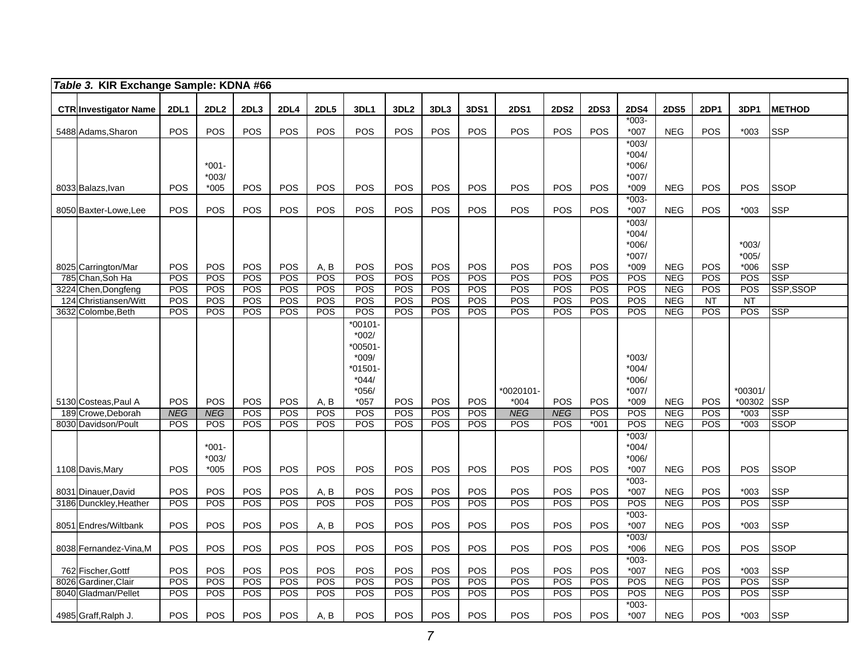|     | Table 3. KIR Exchange Sample: KDNA #66     |             |                  |            |             |             |                     |                  |            |            |             |             |             |                    |             |             |            |               |
|-----|--------------------------------------------|-------------|------------------|------------|-------------|-------------|---------------------|------------------|------------|------------|-------------|-------------|-------------|--------------------|-------------|-------------|------------|---------------|
|     | <b>CTR Investigator Name</b>               | <b>2DL1</b> | 2DL <sub>2</sub> | 2DL3       | <b>2DL4</b> | <b>2DL5</b> | 3DL1                | 3DL <sub>2</sub> | 3DL3       | 3DS1       | <b>2DS1</b> | <b>2DS2</b> | <b>2DS3</b> | <b>2DS4</b>        | <b>2DS5</b> | <b>2DP1</b> | 3DP1       | <b>METHOD</b> |
|     |                                            |             |                  |            |             |             |                     |                  |            |            |             |             |             | $*003-$            |             |             |            |               |
|     | 5488 Adams, Sharon                         | POS         | POS              | POS        | POS         | POS         | POS                 | POS              | POS        | POS        | POS         | <b>POS</b>  | <b>POS</b>  | *007               | <b>NEG</b>  | POS         | $*003$     | <b>SSP</b>    |
|     |                                            |             |                  |            |             |             |                     |                  |            |            |             |             |             | $*003/$            |             |             |            |               |
|     |                                            |             |                  |            |             |             |                     |                  |            |            |             |             |             | $*004/$            |             |             |            |               |
|     |                                            |             | $*001 -$         |            |             |             |                     |                  |            |            |             |             |             | $*006/$            |             |             |            |               |
|     |                                            |             | $*003/$          |            |             |             |                     |                  |            |            |             |             |             | $*007/$            |             |             |            |               |
|     | 8033 Balazs, Ivan                          | <b>POS</b>  | $*005$           | <b>POS</b> | POS         | POS         | <b>POS</b>          | POS              | POS        | POS        | POS         | POS         | POS         | $*009$<br>$*003-$  | <b>NEG</b>  | POS         | <b>POS</b> | <b>SSOP</b>   |
|     | 8050 Baxter-Lowe, Lee                      | POS         | <b>POS</b>       | POS        | POS         | POS         | POS                 | <b>POS</b>       | POS        | POS        | POS         | POS         | <b>POS</b>  | *007               | <b>NEG</b>  | <b>POS</b>  | $*003$     | <b>SSP</b>    |
|     |                                            |             |                  |            |             |             |                     |                  |            |            |             |             |             | $*003/$            |             |             |            |               |
|     |                                            |             |                  |            |             |             |                     |                  |            |            |             |             |             | $*004/$<br>$*006/$ |             |             | $*003/$    |               |
|     |                                            |             |                  |            |             |             |                     |                  |            |            |             |             |             | $*007/$            |             |             | $*005/$    |               |
|     | 8025 Carrington/Mar                        | <b>POS</b>  | <b>POS</b>       | POS        | <b>POS</b>  | A, B        | <b>POS</b>          | <b>POS</b>       | POS        | POS        | POS         | <b>POS</b>  | <b>POS</b>  | *009               | <b>NEG</b>  | POS         | $*006$     | <b>SSP</b>    |
|     | 785 Chan, Soh Ha                           | POS         | POS              | POS        | <b>POS</b>  | POS         | POS                 | POS              | <b>POS</b> | POS        | <b>POS</b>  | <b>POS</b>  | POS         | POS                | <b>NEG</b>  | <b>POS</b>  | POS        | <b>SSP</b>    |
|     | 3224 Chen, Dongfeng                        | POS         | POS              | POS        | POS         | POS         | <b>POS</b>          | POS              | POS        | POS        | POS         | <b>POS</b>  | <b>POS</b>  | POS                | <b>NEG</b>  | POS         | POS        | SSP,SSOP      |
| 124 | Christiansen/Witt                          | POS         | POS              | POS        | POS         | POS         | <b>POS</b>          | POS              | POS        | POS        | POS         | <b>POS</b>  | POS         | POS                | <b>NEG</b>  | NT          | <b>NT</b>  |               |
|     | 3632 Colombe, Beth                         | POS         | <b>POS</b>       | POS        | <b>POS</b>  | POS         | POS                 | <b>POS</b>       | POS        | POS        | POS         | <b>POS</b>  | <b>POS</b>  | <b>POS</b>         | <b>NEG</b>  | POS         | POS        | <b>SSP</b>    |
|     |                                            |             |                  |            |             |             | $*00101$            |                  |            |            |             |             |             |                    |             |             |            |               |
|     |                                            |             |                  |            |             |             | $*002/$<br>$*00501$ |                  |            |            |             |             |             |                    |             |             |            |               |
|     |                                            |             |                  |            |             |             | $*009/$             |                  |            |            |             |             |             | $*003/$            |             |             |            |               |
|     |                                            |             |                  |            |             |             | $*01501$            |                  |            |            |             |             |             | $*004/$            |             |             |            |               |
|     |                                            |             |                  |            |             |             | $*044/$             |                  |            |            |             |             |             | $*006/$            |             |             |            |               |
|     |                                            |             |                  |            |             |             | $*056/$             |                  |            |            | *0020101-   |             |             | $*007/$            |             |             | *00301/    |               |
|     | 5130 Costeas, Paul A                       | POS         | <b>POS</b>       | POS        | POS         | A, B        | $*057$              | POS              | <b>POS</b> | POS        | $*004$      | POS         | POS         | $*009$             | <b>NEG</b>  | <b>POS</b>  | *00302     | <b>SSP</b>    |
|     | 189 Crowe.Deborah                          | <b>NEG</b>  | <b>NEG</b>       | POS        | POS         | POS         | POS                 | POS              | POS        | POS        | <b>NEG</b>  | <b>NEG</b>  | POS         | $\overline{POS}$   | NEG         | POS         | $*003$     | <b>SSP</b>    |
|     | 8030 Davidson/Poult                        | POS         | POS              | POS        | POS         | POS         | <b>POS</b>          | POS              | POS        | POS        | POS         | POS         | $*001$      | POS                | <b>NEG</b>  | POS         | $*003$     | <b>SSOP</b>   |
|     |                                            |             | $*001-$          |            |             |             |                     |                  |            |            |             |             |             | $*003/$<br>$*004/$ |             |             |            |               |
|     |                                            |             | $*003/$          |            |             |             |                     |                  |            |            |             |             |             | $*006/$            |             |             |            |               |
|     | 1108 Davis, Mary                           | <b>POS</b>  | $*005$           | <b>POS</b> | <b>POS</b>  | <b>POS</b>  | POS                 | <b>POS</b>       | <b>POS</b> | <b>POS</b> | <b>POS</b>  | <b>POS</b>  | <b>POS</b>  | $*007$             | <b>NEG</b>  | POS         | <b>POS</b> | <b>SSOP</b>   |
|     |                                            |             |                  |            |             |             |                     |                  |            |            |             |             |             | $*003-$            |             |             |            |               |
|     | 8031 Dinauer, David                        | POS         | POS              | POS        | POS         | A, B        | <b>POS</b>          | <b>POS</b>       | POS        | POS        | POS         | <b>POS</b>  | POS         | *007               | <b>NEG</b>  | POS         | $*003$     | SSP           |
|     | 3186 Dunckley, Heather                     | POS         | POS              | <b>POS</b> | POS         | POS         | <b>POS</b>          | POS              | POS        | POS        | POS         | POS         | POS         | POS                | <b>NEG</b>  | <b>POS</b>  | POS        | <b>SSP</b>    |
|     | 8051 Endres/Wiltbank                       | POS         | POS              | POS        | POS         | A, B        | POS                 | POS              | POS        | POS        | POS         | POS         | POS         | $*003-$<br>$*007$  | <b>NEG</b>  | POS         | *003       | <b>SSP</b>    |
|     |                                            |             |                  |            |             |             |                     |                  |            |            |             |             |             | $*003/$            |             |             |            |               |
|     | 8038 Fernandez-Vina, M                     | POS         | <b>POS</b>       | POS        | POS         | POS         | <b>POS</b>          | POS              | POS        | POS        | POS         | <b>POS</b>  | POS         | $*006$             | <b>NEG</b>  | POS         | POS        | SSOP          |
|     |                                            | POS         | POS              | POS        | POS         | POS         | POS                 | POS              | POS        | POS        | POS         | POS         | POS         | $*003-$<br>$*007$  | <b>NEG</b>  | POS         | $*003$     | <b>SSP</b>    |
|     | 762 Fischer, Gottf<br>8026 Gardiner, Clair | POS         | POS              | POS        | POS         | POS         | POS                 | POS              | POS        | POS        | POS         | <b>POS</b>  | POS         | POS                | NEG         | POS         | <b>POS</b> | <b>SSP</b>    |
|     | 8040 Gladman/Pellet                        | POS         | POS              | POS        | POS         | POS         | POS                 | <b>POS</b>       | POS        | POS        | <b>POS</b>  | <b>POS</b>  | POS         | POS                | <b>NEG</b>  | POS         | <b>POS</b> | <b>SSP</b>    |
|     |                                            |             |                  |            |             |             |                     |                  |            |            |             |             |             | $*003-$            |             |             |            |               |
|     | 4985 Graff, Ralph J.                       | POS         | POS              | POS        | POS         | A, B        | <b>POS</b>          | POS              | POS        | POS        | POS         | <b>POS</b>  | POS         | $*007$             | <b>NEG</b>  | POS         | *003       | <b>SSP</b>    |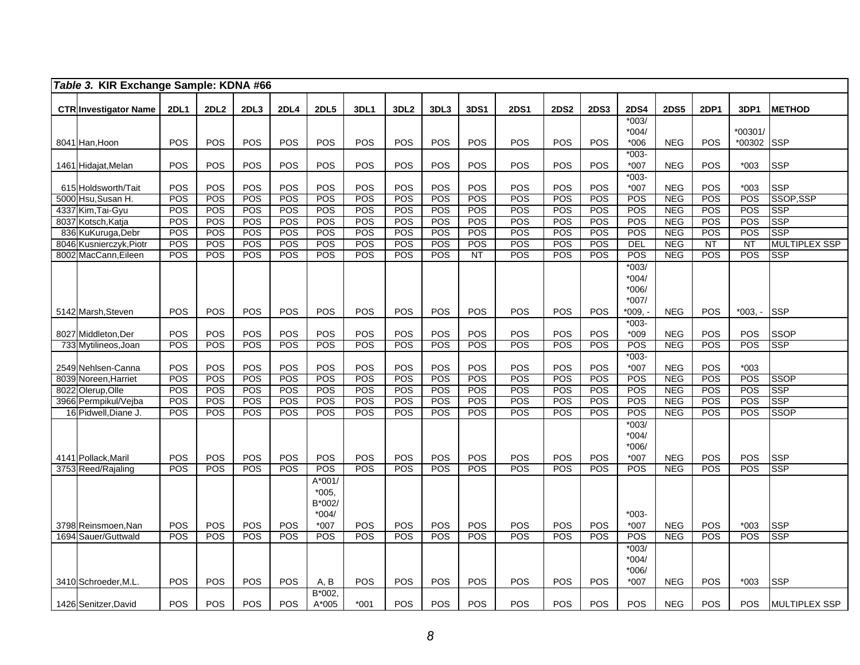|      | Table 3. KIR Exchange Sample: KDNA #66       |                   |                   |            |                   |                   |            |                  |                   |            |             |             |             |                        |                          |             |            |                           |
|------|----------------------------------------------|-------------------|-------------------|------------|-------------------|-------------------|------------|------------------|-------------------|------------|-------------|-------------|-------------|------------------------|--------------------------|-------------|------------|---------------------------|
|      |                                              |                   |                   |            |                   |                   |            |                  |                   |            |             |             |             |                        |                          |             |            |                           |
|      | <b>CTR Investigator Name</b>                 | <b>2DL1</b>       | 2DL <sub>2</sub>  | 2DL3       | <b>2DL4</b>       | <b>2DL5</b>       | 3DL1       | 3DL <sub>2</sub> | 3DL3              | 3DS1       | <b>2DS1</b> | <b>2DS2</b> | <b>2DS3</b> | <b>2DS4</b><br>$*003/$ | <b>2DS5</b>              | <b>2DP1</b> | 3DP1       | <b>METHOD</b>             |
|      |                                              |                   |                   |            |                   |                   |            |                  |                   |            |             |             |             | $*004/$                |                          |             | *00301/    |                           |
|      | 8041 Han, Hoon                               | POS               | <b>POS</b>        | POS        | POS               | POS               | POS        | POS              | POS               | POS        | POS         | <b>POS</b>  | POS         | $*006$                 | <b>NEG</b>               | POS         | *00302     | <b>SSP</b>                |
|      |                                              |                   |                   |            |                   |                   |            |                  |                   |            |             |             |             | $*003-$                |                          |             |            |                           |
|      | 1461 Hidajat, Melan                          | POS               | POS               | <b>POS</b> | POS               | POS               | POS        | POS              | POS               | POS        | POS         | POS         | POS         | $*007$                 | <b>NEG</b>               | <b>POS</b>  | $*003$     | <b>SSP</b>                |
|      |                                              |                   |                   |            |                   |                   |            |                  |                   |            |             |             |             | $*003-$                |                          |             |            |                           |
|      | 615 Holdsworth/Tait                          | POS               | POS               | POS        | POS<br>POS        | POS               | POS<br>POS | POS<br>POS       | POS               | POS<br>POS | POS<br>POS  | POS         | POS         | $*007$                 | <b>NEG</b>               | POS         | $*003$     | <b>SSP</b>                |
| 4337 | 5000 Hsu, Susan H.<br>Kim, Tai-Gyu           | POS<br>POS        | POS<br>POS        | POS<br>POS | POS               | POS<br>POS        | POS        | POS              | POS<br>POS        | POS        | POS         | POS<br>POS  | POS<br>POS  | POS<br>POS             | <b>NEG</b><br><b>NEG</b> | POS<br>POS  | POS<br>POS | SSOP, SSP<br>SSP          |
|      | 8037 Kotsch, Katja                           | POS               | POS               | POS        | POS               | POS               | POS        | POS              | POS               | POS        | POS         | POS         | POS         | POS                    | <b>NEG</b>               | POS         | POS        | <b>SSP</b>                |
| 836  | KuKuruga, Debr                               | POS               | POS               | <b>POS</b> | POS               | POS               | POS        | POS              | POS               | POS        | POS         | POS         | POS         | POS                    | <b>NEG</b>               | POS         | POS        | <b>SSP</b>                |
| 8046 | Kusnierczyk, Piotr                           | POS               | <b>POS</b>        | <b>POS</b> | POS               | POS               | POS        | POS              | POS               | POS        | POS         | POS         | POS         | <b>DEL</b>             | <b>NEG</b>               | NT          | <b>NT</b>  | <b>MULTIPLEX SSP</b>      |
|      | 8002 MacCann, Eileen                         | POS               | <b>POS</b>        | <b>POS</b> | <b>POS</b>        | POS               | <b>POS</b> | POS              | <b>POS</b>        | <b>NT</b>  | <b>POS</b>  | POS         | POS         | POS                    | <b>NEG</b>               | <b>POS</b>  | POS        | <b>SSP</b>                |
|      |                                              |                   |                   |            |                   |                   |            |                  |                   |            |             |             |             | $*003/$                |                          |             |            |                           |
|      |                                              |                   |                   |            |                   |                   |            |                  |                   |            |             |             |             | $*004/$                |                          |             |            |                           |
|      |                                              |                   |                   |            |                   |                   |            |                  |                   |            |             |             |             | $*006/$                |                          |             |            |                           |
|      | 5142 Marsh, Steven                           | POS               | POS               | POS        | POS               | POS               | POS        | POS              | POS               | <b>POS</b> | <b>POS</b>  | <b>POS</b>  | <b>POS</b>  | $*007/$<br>$*009.$     | <b>NEG</b>               | POS         | $*003. -$  | <b>SSP</b>                |
|      |                                              |                   |                   |            |                   |                   |            |                  |                   |            |             |             |             | $*003-$                |                          |             |            |                           |
|      | 8027 Middleton, Der                          | POS               | POS               | POS        | POS               | POS               | POS        | POS              | POS               | POS        | POS         | POS         | POS         | $*009$                 | <b>NEG</b>               | POS         | POS        | <b>SSOP</b>               |
|      | 733 Mytilineos, Joan                         | POS               | POS               | POS        | POS               | POS               | POS        | POS              | POS               | POS        | POS         | POS         | POS         | POS                    | <b>NEG</b>               | POS         | POS        | <b>SSP</b>                |
|      |                                              |                   |                   |            |                   |                   |            |                  |                   |            |             |             |             | $*003-$                |                          |             |            |                           |
|      | 2549 Nehlsen-Canna                           | POS               | POS               | POS        | POS               | POS               | POS        | POS              | POS               | POS        | POS         | POS         | POS         | $*007$                 | <b>NEG</b>               | POS         | $*003$     |                           |
|      | 8039 Noreen, Harriet                         | POS               | POS               | <b>POS</b> | POS               | POS               | POS        | POS              | POS               | POS        | POS         | POS         | POS         | POS                    | <b>NEG</b>               | POS         | POS        | <b>SSOP</b>               |
| 8022 | Olerup, Olle                                 | POS               | POS               | POS        | POS               | POS               | POS        | POS              | POS               | POS        | POS         | POS         | <b>POS</b>  | POS                    | <b>NEG</b>               | POS         | POS        | <b>SSP</b>                |
|      | 3966 Permpikul/Vejba<br>16 Pidwell, Diane J. | POS<br><b>POS</b> | POS<br><b>POS</b> | POS<br>POS | POS<br><b>POS</b> | POS<br>POS        | POS<br>POS | POS<br>POS       | POS<br><b>POS</b> | POS<br>POS | POS<br>POS  | POS<br>POS  | POS<br>POS  | POS<br>POS             | <b>NEG</b><br><b>NEG</b> | POS<br>POS  | POS<br>POS | <b>SSP</b><br><b>SSOP</b> |
|      |                                              |                   |                   |            |                   |                   |            |                  |                   |            |             |             |             | $*003/$                |                          |             |            |                           |
|      |                                              |                   |                   |            |                   |                   |            |                  |                   |            |             |             |             | $*004/$                |                          |             |            |                           |
|      |                                              |                   |                   |            |                   |                   |            |                  |                   |            |             |             |             | $*006/$                |                          |             |            |                           |
|      | 4141 Pollack, Maril                          | POS               | <b>POS</b>        | <b>POS</b> | POS               | <b>POS</b>        | POS        | POS              | <b>POS</b>        | POS        | POS         | POS         | POS         | $*007$                 | <b>NEG</b>               | POS         | POS        | <b>SSP</b>                |
|      | 3753 Reed/Rajaling                           | POS               | <b>POS</b>        | POS        | POS               | POS               | POS        | POS              | POS               | POS        | POS         | POS         | POS         | POS                    | <b>NEG</b>               | POS         | POS        | <b>SSP</b>                |
|      |                                              |                   |                   |            |                   | A*001/            |            |                  |                   |            |             |             |             |                        |                          |             |            |                           |
|      |                                              |                   |                   |            |                   | *005.             |            |                  |                   |            |             |             |             |                        |                          |             |            |                           |
|      |                                              |                   |                   |            |                   | B*002/            |            |                  |                   |            |             |             |             |                        |                          |             |            |                           |
|      | 3798 Reinsmoen, Nan                          | POS               | POS               | POS        | POS               | $*004/$<br>$*007$ | POS        | POS              | POS               | POS        | POS         | POS         | POS         | $*003-$<br>$*007$      | <b>NEG</b>               | POS         | $*003$     | <b>SSP</b>                |
| 1694 | Sauer/Guttwald                               | POS               | POS               | <b>POS</b> | $\overline{POS}$  | POS               | POS        | $\overline{POS}$ | POS               | POS        | POS         | POS         | <b>POS</b>  | POS                    | <b>NEG</b>               | <b>POS</b>  | POS        | <b>SSP</b>                |
|      |                                              |                   |                   |            |                   |                   |            |                  |                   |            |             |             |             | $*003/$                |                          |             |            |                           |
|      |                                              |                   |                   |            |                   |                   |            |                  |                   |            |             |             |             | $*004/$                |                          |             |            |                           |
|      |                                              |                   |                   |            |                   |                   |            |                  |                   |            |             |             |             | $*006/$                |                          |             |            |                           |
|      | 3410 Schroeder, M.L.                         | POS               | <b>POS</b>        | POS        | POS               | A, B              | POS        | POS              | POS               | POS        | POS         | POS         | <b>POS</b>  | *007                   | <b>NEG</b>               | POS         | $*003$     | <b>SSP</b>                |
|      |                                              |                   |                   |            |                   | $B*002,$          |            |                  |                   |            |             |             |             |                        |                          |             |            |                           |
|      | 1426 Senitzer, David                         | <b>POS</b>        | <b>POS</b>        | <b>POS</b> | POS               | A*005             | $*001$     | <b>POS</b>       | POS               | POS        | POS         | <b>POS</b>  | <b>POS</b>  | POS                    | <b>NEG</b>               | <b>POS</b>  | <b>POS</b> | <b>MULTIPLEX SSP</b>      |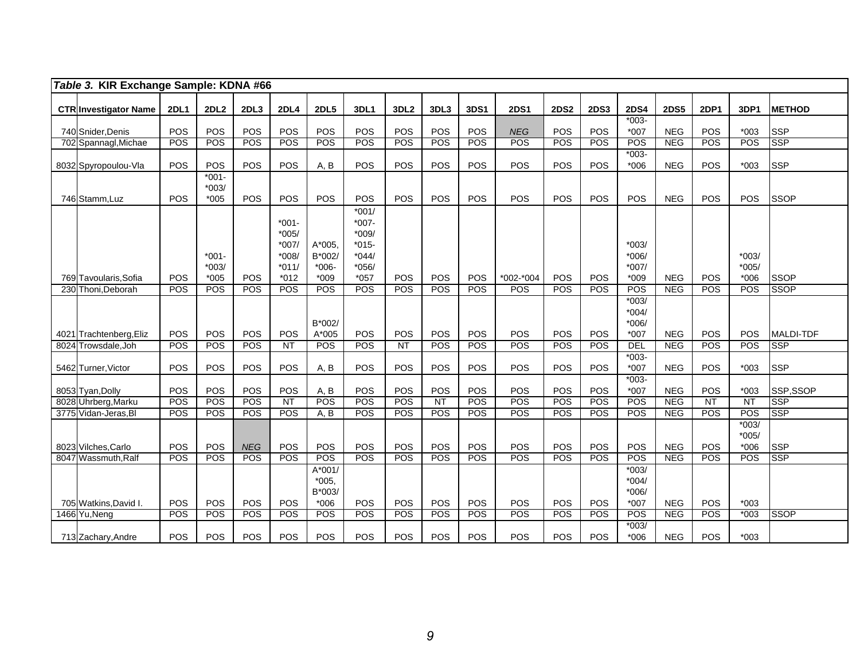|     | Table 3. KIR Exchange Sample: KDNA #66 |             |                               |            |                                                              |                                        |                                                                          |                  |            |            |             |             |             |                                         |             |             |                              |                  |
|-----|----------------------------------------|-------------|-------------------------------|------------|--------------------------------------------------------------|----------------------------------------|--------------------------------------------------------------------------|------------------|------------|------------|-------------|-------------|-------------|-----------------------------------------|-------------|-------------|------------------------------|------------------|
|     | <b>CTR Investigator Name</b>           | <b>2DL1</b> | 2DL2                          | 2DL3       | <b>2DL4</b>                                                  | <b>2DL5</b>                            | <b>3DL1</b>                                                              | 3DL <sub>2</sub> | 3DL3       | 3DS1       | <b>2DS1</b> | <b>2DS2</b> | <b>2DS3</b> | <b>2DS4</b>                             | <b>2DS5</b> | <b>2DP1</b> | 3DP1                         | <b>IMETHOD</b>   |
|     |                                        |             |                               |            |                                                              |                                        |                                                                          |                  |            |            |             |             |             | $*003-$                                 |             |             |                              |                  |
|     | 740 Snider, Denis                      | POS         | POS                           | POS        | POS                                                          | POS                                    | POS                                                                      | POS              | POS        | POS        | <b>NEG</b>  | POS         | POS         | *007                                    | <b>NEG</b>  | POS         | $*003$                       | <b>SSP</b>       |
|     | 702 Spannagl, Michae                   | POS         | POS                           | POS        | POS                                                          | POS                                    | POS                                                                      | POS              | <b>POS</b> | POS        | POS         | POS         | POS         | POS                                     | <b>NEG</b>  | POS         | POS                          | <b>SSP</b>       |
|     | 8032 Spyropoulou-Vla                   | POS         | POS                           | POS        | POS                                                          | A, B                                   | POS                                                                      | POS              | POS        | POS        | POS         | POS         | POS         | $*003-$<br>$*006$                       | <b>NEG</b>  | POS         | $*003$                       | <b>SSP</b>       |
|     | 746 Stamm, Luz                         | POS         | $*001 -$<br>$*003/$<br>$*005$ | POS        | <b>POS</b>                                                   | POS                                    | POS                                                                      | POS              | POS        | POS        | POS         | POS         | POS         | POS                                     | <b>NEG</b>  | <b>POS</b>  | POS                          | <b>SSOP</b>      |
|     | 769 Tavoularis, Sofia                  | <b>POS</b>  | $*001 -$<br>$*003/$<br>$*005$ | POS        | $*001 -$<br>$*005/$<br>*007/<br>$*008/$<br>$*011/$<br>$*012$ | $A*005$<br>B*002/<br>$*006-$<br>$*009$ | $*001/$<br>$*007-$<br>$*009/$<br>$*015-$<br>$*044/$<br>$*056/$<br>$*057$ | POS              | POS        | POS        | *002-*004   | POS         | POS         | $*003/$<br>$*006/$<br>$*007/$<br>$*009$ | <b>NEG</b>  | <b>POS</b>  | $*003/$<br>$*005/$<br>$*006$ | <b>SSOP</b>      |
| 230 | Thoni, Deborah                         | POS         | POS                           | POS        | <b>POS</b>                                                   | <b>POS</b>                             | <b>POS</b>                                                               | POS              | <b>POS</b> | <b>POS</b> | POS         | POS         | POS         | POS                                     | <b>NEG</b>  | <b>POS</b>  | POS                          | <b>SSOP</b>      |
|     | 4021 Trachtenberg, Eliz                | POS         | POS                           | POS        | POS                                                          | B*002/<br>A*005                        | POS                                                                      | POS              | POS        | POS        | POS         | POS         | POS         | $*003/$<br>$*004/$<br>$*006/$<br>$*007$ | <b>NEG</b>  | POS         | POS                          | <b>MALDI-TDF</b> |
|     | 8024 Trowsdale.Joh                     | POS         | POS                           | POS        | $\overline{NT}$                                              | POS                                    | POS                                                                      | $\overline{NT}$  | POS        | POS        | POS         | POS         | POS         | <b>DEL</b>                              | <b>NEG</b>  | POS         | POS                          | <b>SSP</b>       |
|     | 5462 Turner, Victor                    | POS         | POS                           | POS        | POS                                                          | A, B                                   | POS                                                                      | POS              | POS        | POS        | POS         | POS         | POS         | $*003-$<br>*007                         | <b>NEG</b>  | POS         | $*003$                       | <b>SSP</b>       |
|     | 8053 Tyan, Dolly                       | POS         | POS                           | POS        | POS                                                          | A, B                                   | POS                                                                      | POS              | POS        | POS        | POS         | POS         | POS         | $*003-$<br>$*007$                       | <b>NEG</b>  | POS         | $*003$                       | SSP,SSOP         |
|     | 8028 Uhrberg, Marku                    | <b>POS</b>  | POS                           | <b>POS</b> | NT                                                           | POS                                    | POS                                                                      | POS              | NT         | <b>POS</b> | POS         | POS         | POS         | POS                                     | <b>NEG</b>  | NT          | $\overline{NT}$              | <b>SSP</b>       |
|     | 3775 Vidan-Jeras.Bl                    | POS         | <b>POS</b>                    | POS        | <b>POS</b>                                                   | A, B                                   | <b>POS</b>                                                               | <b>POS</b>       | POS        | <b>POS</b> | <b>POS</b>  | <b>POS</b>  | <b>POS</b>  | POS                                     | <b>NEG</b>  | <b>POS</b>  | <b>POS</b>                   | <b>SSP</b>       |
|     | 8023 Vilches, Carlo                    | POS         | POS                           | <b>NEG</b> | POS                                                          | POS                                    | POS                                                                      | POS              | POS        | POS        | POS         | POS         | POS         | POS                                     | <b>NEG</b>  | POS         | $*003/$<br>$*005/$<br>$*006$ | <b>SSP</b>       |
|     | 8047 Wassmuth, Ralf                    | POS         | POS                           | POS        | <b>POS</b>                                                   | POS                                    | POS                                                                      | POS              | POS        | POS        | POS         | POS         | POS         | POS                                     | <b>NEG</b>  | POS         | <b>POS</b>                   | <b>SSP</b>       |
|     | 705 Watkins, David I.                  | POS         | POS                           | POS        | POS                                                          | A*001/<br>$*005.$<br>B*003/<br>$*006$  | POS                                                                      | POS              | POS        | POS        | POS         | POS         | POS         | $*003/$<br>$*004/$<br>$*006/$<br>$*007$ | <b>NEG</b>  | POS         | $*003$                       |                  |
|     | 1466 Yu, Neng                          | <b>POS</b>  | POS                           | POS        | POS                                                          | POS                                    | POS                                                                      | POS              | POS        | POS        | POS         | POS         | POS         | POS                                     | <b>NEG</b>  | POS         | $*003$                       | <b>SSOP</b>      |
|     | 713 Zachary, Andre                     | POS         | POS                           | POS        | <b>POS</b>                                                   | POS                                    | POS                                                                      | POS              | POS        | POS        | POS         | POS         | POS         | $*003/$<br>*006                         | <b>NEG</b>  | POS         | $*003$                       |                  |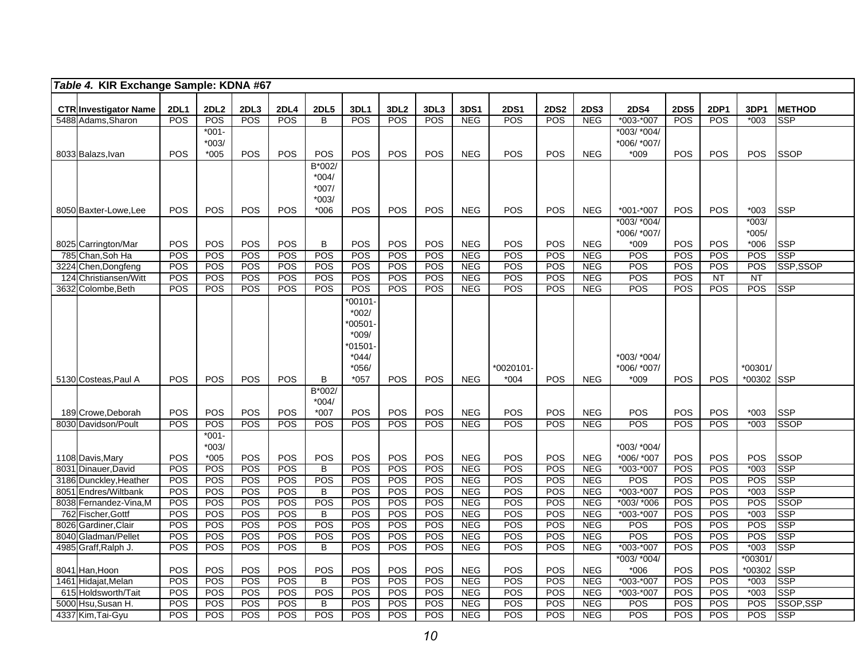| Table 4. KIR Exchange Sample: KDNA #67             |                           |             |             |                    |                  |             |                         |                   |                          |                    |                    |                           |                              |                    |                    |                |                              |
|----------------------------------------------------|---------------------------|-------------|-------------|--------------------|------------------|-------------|-------------------------|-------------------|--------------------------|--------------------|--------------------|---------------------------|------------------------------|--------------------|--------------------|----------------|------------------------------|
|                                                    |                           |             |             |                    |                  |             |                         |                   |                          |                    |                    |                           |                              |                    |                    |                |                              |
| <b>CTR Investigator Name</b><br>5488 Adams, Sharon | <b>2DL1</b><br><b>POS</b> | 2DL2<br>POS | 2DL3<br>POS | 2DL4<br><b>POS</b> | <b>2DL5</b><br>B | 3DL1<br>POS | 3DL <sub>2</sub><br>POS | 3DL3<br>POS       | 3DS1<br><b>NEG</b>       | <b>2DS1</b><br>POS | <b>2DS2</b><br>POS | <b>2DS3</b><br><b>NEG</b> | <b>2DS4</b><br>$*003 - *007$ | <b>2DS5</b><br>POS | <b>2DP1</b><br>POS | 3DP1<br>$*003$ | <b>IMETHOD</b><br><b>SSP</b> |
|                                                    |                           | $*001-$     |             |                    |                  |             |                         |                   |                          |                    |                    |                           | *003/ *004/                  |                    |                    |                |                              |
|                                                    |                           | $*003/$     |             |                    |                  |             |                         |                   |                          |                    |                    |                           | *006/ *007/                  |                    |                    |                |                              |
| 8033 Balazs, Ivan                                  | POS                       | $*005$      | POS         | POS                | POS              | POS         | POS                     | POS               | <b>NEG</b>               | POS                | <b>POS</b>         | <b>NEG</b>                | $*009$                       | POS                | POS                | <b>POS</b>     | <b>SSOP</b>                  |
|                                                    |                           |             |             |                    | B*002/           |             |                         |                   |                          |                    |                    |                           |                              |                    |                    |                |                              |
|                                                    |                           |             |             |                    | $*004/$          |             |                         |                   |                          |                    |                    |                           |                              |                    |                    |                |                              |
|                                                    |                           |             |             |                    | $*007/$          |             |                         |                   |                          |                    |                    |                           |                              |                    |                    |                |                              |
|                                                    |                           |             |             |                    | $*003/$          |             |                         |                   |                          |                    |                    |                           |                              |                    |                    |                |                              |
| 8050 Baxter-Lowe, Lee                              | <b>POS</b>                | <b>POS</b>  | POS         | <b>POS</b>         | $*006$           | POS         | POS                     | POS               | <b>NEG</b>               | <b>POS</b>         | <b>POS</b>         | <b>NEG</b>                | *001-*007                    | POS                | <b>POS</b>         | *003           | <b>SSP</b>                   |
|                                                    |                           |             |             |                    |                  |             |                         |                   |                          |                    |                    |                           | *003/ *004/                  |                    |                    | $*003/$        |                              |
|                                                    |                           |             |             |                    |                  |             |                         |                   |                          |                    |                    |                           | *006/ *007/                  |                    |                    | $*005/$        |                              |
| 8025 Carrington/Mar<br>785 Chan, Soh Ha            | <b>POS</b><br>POS         | POS<br>POS  | POS<br>POS  | POS<br>POS         | B<br>POS         | POS<br>POS  | POS<br>POS              | POS<br>POS        | <b>NEG</b><br><b>NEG</b> | POS<br>POS         | <b>POS</b><br>POS  | <b>NEG</b><br><b>NEG</b>  | $*009$<br>POS                | POS<br>POS         | <b>POS</b><br>POS  | $*006$<br>POS  | <b>SSP</b><br><b>SSP</b>     |
| 3224 Chen, Dongfeng                                | POS                       | POS         | <b>POS</b>  | POS                | POS              | POS         | POS                     | <b>POS</b>        | <b>NEG</b>               | POS                | POS                | <b>NEG</b>                | <b>POS</b>                   | POS                | POS                | POS            | SSP,SSOP                     |
| 124 Christiansen/Witt                              | POS                       | POS         | POS         | POS                | POS              | POS         | POS                     | POS               | <b>NEG</b>               | POS                | POS                | <b>NEG</b>                | <b>POS</b>                   | POS                | NT                 | <b>NT</b>      |                              |
| 3632 Colombe, Beth                                 | POS                       | POS         | <b>POS</b>  | POS                | <b>POS</b>       | POS         | POS                     | POS               | <b>NEG</b>               | POS                | POS                | <b>NEG</b>                | POS                          | POS                | <b>POS</b>         | <b>POS</b>     | <b>SSP</b>                   |
|                                                    |                           |             |             |                    |                  | $*00101$    |                         |                   |                          |                    |                    |                           |                              |                    |                    |                |                              |
|                                                    |                           |             |             |                    |                  | $*002/$     |                         |                   |                          |                    |                    |                           |                              |                    |                    |                |                              |
|                                                    |                           |             |             |                    |                  | 00501-      |                         |                   |                          |                    |                    |                           |                              |                    |                    |                |                              |
|                                                    |                           |             |             |                    |                  | *009/       |                         |                   |                          |                    |                    |                           |                              |                    |                    |                |                              |
|                                                    |                           |             |             |                    |                  | 01501-      |                         |                   |                          |                    |                    |                           |                              |                    |                    |                |                              |
|                                                    |                           |             |             |                    |                  | $*044/$     |                         |                   |                          |                    |                    |                           | *003/ *004/                  |                    |                    |                |                              |
|                                                    |                           |             |             |                    |                  | $*056/$     |                         |                   |                          | $*0020101-$        |                    |                           | *006/ *007/                  |                    |                    | *00301/        |                              |
| 5130 Costeas, Paul A                               | <b>POS</b>                | POS         | POS         | POS                | B<br>B*002/      | $*057$      | POS                     | POS               | <b>NEG</b>               | $*004$             | <b>POS</b>         | <b>NEG</b>                | *009                         | POS                | <b>POS</b>         | *00302 SSP     |                              |
|                                                    |                           |             |             |                    | $*004/$          |             |                         |                   |                          |                    |                    |                           |                              |                    |                    |                |                              |
| 189 Crowe, Deborah                                 | <b>POS</b>                | POS         | POS         | POS                | $*007$           | POS         | POS                     | POS               | <b>NEG</b>               | POS                | POS                | <b>NEG</b>                | <b>POS</b>                   | POS                | POS                | $*003$         | <b>SSP</b>                   |
| 8030 Davidson/Poult                                | POS                       | POS         | POS         | POS                | <b>POS</b>       | POS         | POS                     | POS               | <b>NEG</b>               | POS                | POS                | <b>NEG</b>                | <b>POS</b>                   | POS                | POS                | $*003$         | <b>SSOP</b>                  |
|                                                    |                           | $*001 -$    |             |                    |                  |             |                         |                   |                          |                    |                    |                           |                              |                    |                    |                |                              |
|                                                    |                           | $*003/$     |             |                    |                  |             |                         |                   |                          |                    |                    |                           | *003/ *004/                  |                    |                    |                |                              |
| 1108 Davis, Mary                                   | POS                       | $*005$      | POS         | POS                | POS              | POS         | POS                     | POS               | <b>NEG</b>               | <b>POS</b>         | POS                | <b>NEG</b>                | *006/ *007                   | POS                | POS                | <b>POS</b>     | <b>SSOP</b>                  |
| 8031 Dinauer, David                                | POS                       | POS         | POS         | POS                | B                | POS         | POS                     | POS               | <b>NEG</b>               | POS                | POS                | <b>NEG</b>                | *003-*007                    | POS                | POS                | $*003$         | <b>SSP</b>                   |
| 3186 Dunckley, Heather                             | POS                       | POS         | POS<br>POS  | POS<br>POS         | <b>POS</b>       | POS         | <b>POS</b>              | POS               | <b>NEG</b>               | POS<br>POS         | <b>POS</b>         | <b>NEG</b>                | POS                          | POS                | POS<br>POS         | POS            | <b>SSP</b><br><b>SSP</b>     |
| 8051 Endres/Wiltbank<br>8038 Fernandez-Vina, M     | POS<br><b>POS</b>         | POS<br>POS  | POS         | POS                | B<br>POS         | POS<br>POS  | POS<br>POS              | POS<br><b>POS</b> | <b>NEG</b><br><b>NEG</b> | POS                | POS<br>POS         | <b>NEG</b><br><b>NEG</b>  | *003-*007<br>*003/ *006      | POS<br>POS         | POS                | $*003$<br>POS  | <b>SSOP</b>                  |
| 762 Fischer, Gottf                                 | POS                       | POS         | POS         | POS                | B                | POS         | POS                     | POS               | <b>NEG</b>               | POS                | POS                | <b>NEG</b>                | *003-*007                    | POS                | POS                | $*003$         | <b>SSP</b>                   |
| 8026 Gardiner, Clair                               | POS                       | POS         | POS         | POS                | <b>POS</b>       | POS         | POS                     | POS               | <b>NEG</b>               | POS                | POS                | <b>NEG</b>                | <b>POS</b>                   | POS                | POS                | POS            | <b>SSP</b>                   |
| 8040 Gladman/Pellet                                | POS                       | POS         | POS         | POS                | POS              | POS         | POS                     | POS               | <b>NEG</b>               | POS                | POS                | <b>NEG</b>                | POS                          | POS                | POS                | POS            | <b>SSP</b>                   |
| 4985 Graff, Ralph J.                               | POS                       | POS         | <b>POS</b>  | POS                | B                | POS         | POS                     | POS               | <b>NEG</b>               | POS                | POS                | <b>NEG</b>                | $*003 - *007$                | POS                | POS                | $*003$         | <b>SSP</b>                   |
|                                                    |                           |             |             |                    |                  |             |                         |                   |                          |                    |                    |                           | *003/ *004/                  |                    |                    | *00301/        |                              |
| 8041 Han, Hoon                                     | POS                       | POS         | POS         | POS                | POS              | POS         | POS                     | POS               | <b>NEG</b>               | POS                | POS                | <b>NEG</b>                | *006                         | POS                | POS                | *00302         | <b>SSP</b>                   |
| 1461 Hidajat, Melan                                | POS                       | POS         | POS         | POS                | B                | POS         | POS                     | POS               | <b>NEG</b>               | POS                | POS                | <b>NEG</b>                | *003-*007                    | POS                | POS                | $*003$         | <b>SSP</b>                   |
| 615 Holdsworth/Tait                                | POS                       | POS         | POS         | POS                | POS              | POS         | POS                     | POS               | <b>NEG</b>               | POS                | POS                | <b>NEG</b>                | *003-*007                    | POS                | POS                | $*003$         | <b>SSP</b>                   |
| 5000 Hsu, Susan H.                                 | POS                       | POS         | POS         | POS                | B                | POS         | POS                     | POS               | <b>NEG</b>               | POS                | POS                | <b>NEG</b>                | POS                          | POS                | <b>POS</b>         | POS            | SSOP, SSP                    |
| 4337 Kim, Tai-Gyu                                  | POS                       | POS         | POS         | POS                | <b>POS</b>       | POS         | POS                     | POS               | <b>NEG</b>               | POS                | POS                | <b>NEG</b>                | POS                          | POS                | POS                | POS            | <b>SSP</b>                   |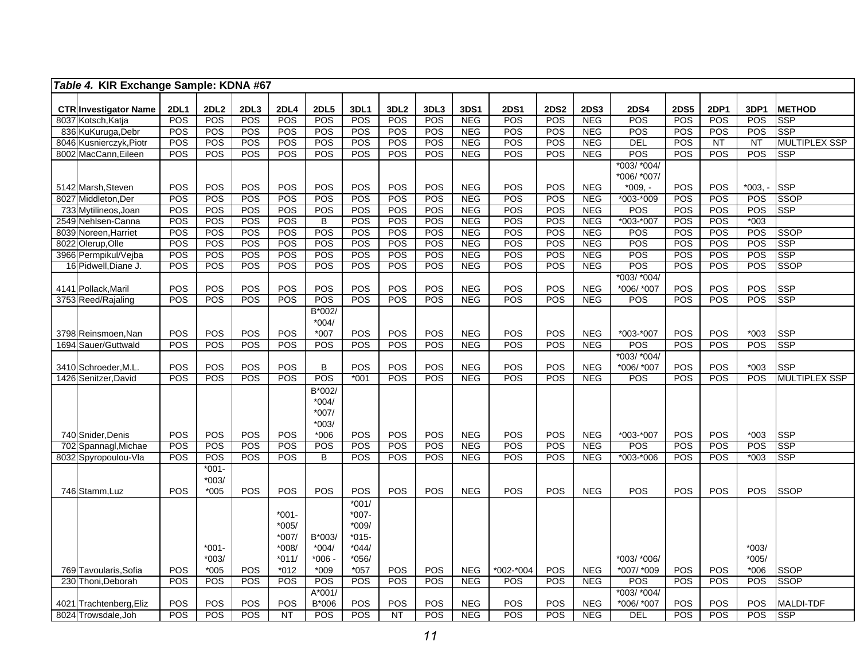| Table 4. KIR Exchange Sample: KDNA #67   |                  |             |                    |             |                    |                    |                    |                         |             |                    |                    |             |                          |                           |             |             |                    |                             |
|------------------------------------------|------------------|-------------|--------------------|-------------|--------------------|--------------------|--------------------|-------------------------|-------------|--------------------|--------------------|-------------|--------------------------|---------------------------|-------------|-------------|--------------------|-----------------------------|
|                                          |                  |             |                    |             |                    |                    |                    |                         |             |                    |                    |             |                          |                           |             |             |                    |                             |
| <b>CTR Investigator Name</b>             |                  | <b>2DL1</b> | 2DL <sub>2</sub>   | 2DL3<br>POS | <b>2DL4</b><br>POS | <b>2DL5</b><br>POS | 3DL1<br>POS        | 3DL <sub>2</sub><br>POS | 3DL3<br>POS | 3DS1<br><b>NEG</b> | <b>2DS1</b><br>POS | <b>2DS2</b> | <b>2DS3</b>              | <b>2DS4</b><br>POS        | <b>2DS5</b> | 2DP1<br>POS | 3DP1               | <b>METHOD</b><br><b>SSP</b> |
| 8037 Kotsch, Katja<br>836 KuKuruga, Debr |                  | POS<br>POS  | <b>POS</b><br>POS  | POS         | POS                | POS                | POS                | POS                     | POS         | <b>NEG</b>         | POS                | POS<br>POS  | <b>NEG</b><br><b>NEG</b> | POS                       | POS<br>POS  | POS         | POS<br>POS         | <b>SSP</b>                  |
| 8046 Kusnierczyk, Piotr                  |                  | <b>POS</b>  | <b>POS</b>         | POS         | <b>POS</b>         | <b>POS</b>         | POS                | <b>POS</b>              | POS         | <b>NEG</b>         | POS                | <b>POS</b>  | <b>NEG</b>               | DEL                       | <b>POS</b>  | NT          | $\overline{NT}$    | <b>MULTIPLEX SSP</b>        |
| 8002 MacCann, Eileen                     |                  | POS         | POS                | <b>POS</b>  | POS                | POS                | POS                | <b>POS</b>              | POS         | <b>NEG</b>         | POS                | POS         | <b>NEG</b>               | POS                       | POS         | <b>POS</b>  | POS                | <b>SSP</b>                  |
|                                          |                  |             |                    |             |                    |                    |                    |                         |             |                    |                    |             |                          | *003/ *004/               |             |             |                    |                             |
|                                          |                  |             |                    |             |                    |                    |                    |                         |             |                    |                    |             |                          | *006/ *007/               |             |             |                    |                             |
| 5142 Marsh, Steven                       |                  | POS         | POS                | POS         | POS                | POS                | POS                | POS                     | POS         | <b>NEG</b>         | POS                | POS         | <b>NEG</b>               | $*009. -$                 | POS         | POS         | $*003. -$          | <b>SSP</b>                  |
| 8027 Middleton.Der                       |                  | POS         | POS                | POS         | POS                | POS                | POS                | POS                     | POS         | NEG                | <b>POS</b>         | POS         | NEG                      | $*003.*009$               | POS         | POS         | POS                | <b>SSOP</b>                 |
| 733 Mytilineos, Joan                     |                  | POS         | POS                | POS         | POS                | <b>POS</b>         | POS                | POS                     | POS         | <b>NEG</b>         | POS                | POS         | <b>NEG</b>               | POS                       | <b>POS</b>  | POS         | POS                | <b>SSP</b>                  |
| 2549 Nehlsen-Canna                       |                  | POS         | <b>POS</b>         | POS         | POS                | B                  | <b>POS</b>         | <b>POS</b>              | POS         | <b>NEG</b>         | POS                | POS         | <b>NEG</b>               | $*003 - *007$             | POS         | POS         | $*003$             |                             |
| 8039 Noreen, Harriet                     |                  | POS         | POS                | POS         | POS                | POS                | POS                | POS                     | POS         | <b>NEG</b>         | POS                | POS         | <b>NEG</b>               | POS                       | POS         | POS         | POS                | <b>SSOP</b>                 |
| 8022 Olerup, Olle                        |                  | <b>POS</b>  | POS                | POS         | POS                | POS                | POS                | POS                     | POS         | <b>NEG</b>         | POS                | POS         | <b>NEG</b>               | POS                       | POS         | POS         | POS                | <b>SSP</b>                  |
| 3966 Permpikul/Vejba                     |                  | POS         | POS                | POS         | POS                | <b>POS</b>         | POS                | POS                     | POS         | <b>NEG</b>         | POS                | POS         | <b>NEG</b>               | POS                       | POS         | POS         | POS                | <b>SSP</b>                  |
| 16 Pidwell, Diane J.                     |                  | <b>POS</b>  | <b>POS</b>         | <b>POS</b>  | POS                | <b>POS</b>         | POS                | <b>POS</b>              | POS         | <b>NEG</b>         | POS                | <b>POS</b>  | <b>NEG</b>               | POS                       | POS         | POS         | POS                | <b>SSOP</b>                 |
|                                          |                  |             |                    |             |                    |                    |                    |                         |             |                    |                    |             |                          | *003/ *004/               |             |             |                    |                             |
| 4141 Pollack, Maril                      |                  | POS         | POS                | POS         | POS                | <b>POS</b>         | POS                | POS                     | POS         | <b>NEG</b>         | POS                | POS         | <b>NEG</b>               | *006/ *007                | POS         | <b>POS</b>  | POS                | <b>SSP</b>                  |
| 3753 Reed/Rajaling                       |                  | POS         | POS                | <b>POS</b>  | POS                | POS                | <b>POS</b>         | POS                     | POS         | NEG                | POS                | POS         | NEG                      | POS                       | POS         | POS         | POS                | <b>SSP</b>                  |
|                                          |                  |             |                    |             |                    | B*002/             |                    |                         |             |                    |                    |             |                          |                           |             |             |                    |                             |
|                                          |                  |             |                    |             |                    | $*004/$            |                    |                         |             |                    |                    |             |                          |                           |             |             |                    |                             |
| 3798 Reinsmoen, Nan                      |                  | POS         | POS                | POS         | POS                | $*007$             | POS                | POS                     | POS         | <b>NEG</b>         | POS                | POS         | <b>NEG</b>               | *003-*007                 | POS         | POS         | $*003$             | <b>SSP</b>                  |
| 1694 Sauer/Guttwald                      |                  | POS         | POS                | POS         | POS                | POS                | POS                | POS                     | POS         | NEG                | POS                | POS         | NEG                      | POS                       | POS         | POS         | POS                | <b>SSP</b>                  |
|                                          |                  |             |                    |             |                    |                    |                    |                         |             |                    |                    |             |                          | *003/ *004/               |             |             |                    |                             |
| 3410 Schroeder, M.L                      |                  | POS         | POS                | POS         | POS                | B                  | POS                | POS                     | POS         | <b>NEG</b>         | POS                | POS         | <b>NEG</b>               | *006/ *007                | POS         | POS         | $*003$             | <b>SSP</b>                  |
| 1426 Senitzer, David                     |                  | POS         | POS                | POS         | $\overline{POS}$   | POS                | $*001$             | POS                     | POS         | <b>NEG</b>         | POS                | POS         | <b>NEG</b>               | POS                       | <b>POS</b>  | POS         | POS                | <b>MULTIPLEX SSP</b>        |
|                                          |                  |             |                    |             |                    | B*002/             |                    |                         |             |                    |                    |             |                          |                           |             |             |                    |                             |
|                                          |                  |             |                    |             |                    | $*004/$            |                    |                         |             |                    |                    |             |                          |                           |             |             |                    |                             |
|                                          |                  |             |                    |             |                    | $*007/$            |                    |                         |             |                    |                    |             |                          |                           |             |             |                    |                             |
|                                          |                  |             |                    |             |                    | $*003/$            |                    |                         |             |                    |                    |             |                          |                           |             |             |                    |                             |
| 740 Snider, Denis                        |                  | <b>POS</b>  | POS                | POS         | POS                | $*006$             | <b>POS</b>         | POS                     | POS         | <b>NEG</b>         | POS                | <b>POS</b>  | <b>NEG</b>               | *003-*007                 | <b>POS</b>  | <b>POS</b>  | $*003$             | <b>SSP</b>                  |
| 702                                      | Spannagl, Michae | POS         | POS                | POS         | POS                | <b>POS</b>         | <b>POS</b>         | POS                     | POS         | <b>NEG</b>         | POS                | POS         | <b>NEG</b>               | POS                       | POS         | POS         | POS                | <b>SSP</b>                  |
| Spyropoulou-Vla<br>8032                  |                  | POS         | POS                | <b>POS</b>  | POS                | $\overline{B}$     | <b>POS</b>         | POS                     | POS         | NEG                | POS                | POS         | NEG                      | $*003 - *006$             | POS         | POS         | $*003$             | <b>SSP</b>                  |
|                                          |                  |             | $*001-$            |             |                    |                    |                    |                         |             |                    |                    |             |                          |                           |             |             |                    |                             |
|                                          |                  |             | $*003/$            |             |                    |                    |                    |                         |             |                    |                    |             |                          |                           |             |             |                    |                             |
| 746 Stamm, Luz                           |                  | POS         | $*005$             | POS         | POS                | POS                | POS                | POS                     | POS         | <b>NEG</b>         | POS                | POS         | <b>NEG</b>               | POS                       | POS         | POS         | <b>POS</b>         | <b>SSOP</b>                 |
|                                          |                  |             |                    |             |                    |                    | $*001/$            |                         |             |                    |                    |             |                          |                           |             |             |                    |                             |
|                                          |                  |             |                    |             | $*001 -$           |                    | $*007-$            |                         |             |                    |                    |             |                          |                           |             |             |                    |                             |
|                                          |                  |             |                    |             | $*005/$            |                    | $*009/$            |                         |             |                    |                    |             |                          |                           |             |             |                    |                             |
|                                          |                  |             |                    |             | *007/              | B*003/             | $*015-$            |                         |             |                    |                    |             |                          |                           |             |             |                    |                             |
|                                          |                  |             | $*001-$<br>$*003/$ |             | $*008/$            | $*004/$<br>$*006$  | $*044/$<br>$*056/$ |                         |             |                    |                    |             |                          |                           |             |             | $*003/$<br>$*005/$ |                             |
| 769 Tavoularis, Sofia                    |                  | POS         | $*005$             | POS         | $*011/$<br>$*012$  | $*009$             | $*057$             | POS                     | POS         | <b>NEG</b>         | *002-*004          | POS         | <b>NEG</b>               | *003/ *006/<br>*007/ *009 | <b>POS</b>  | <b>POS</b>  | $*006$             | <b>SSOP</b>                 |
| 230 Thoni, Deborah                       |                  | POS         | POS                | POS         | POS                | POS                | POS                | <b>POS</b>              | POS         | <b>NEG</b>         | POS                | POS         | <b>NEG</b>               | POS                       | POS         | POS         | POS                | <b>SSOP</b>                 |
|                                          |                  |             |                    |             |                    | A*001/             |                    |                         |             |                    |                    |             |                          | *003/ *004/               |             |             |                    |                             |
| 4021 Trachtenberg, Eliz                  |                  | <b>POS</b>  | POS                | POS         | POS                | B*006              | POS                | POS                     | POS         | <b>NEG</b>         | POS                | POS         | <b>NEG</b>               | *006/ *007                | POS         | POS         | POS                | <b>MALDI-TDF</b>            |
| 8024 Trowsdale.Joh                       |                  | POS         | POS                | POS         | $\overline{NT}$    | POS                | <b>POS</b>         | $\overline{NT}$         | POS         | NEG                | POS                | POS         | NEG                      | <b>DEL</b>                | POS         | POS         | POS                | <b>SSP</b>                  |
|                                          |                  |             |                    |             |                    |                    |                    |                         |             |                    |                    |             |                          |                           |             |             |                    |                             |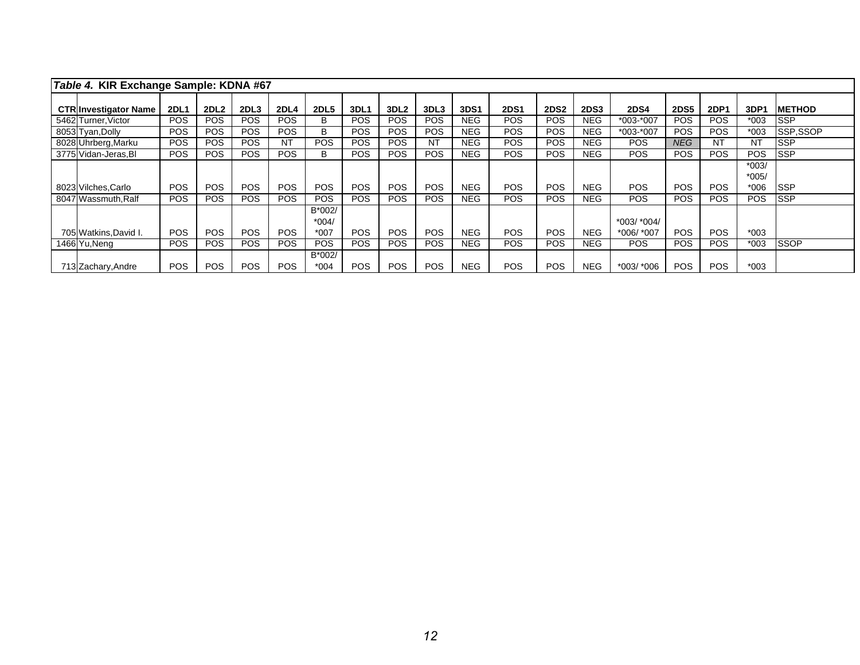| Table 4. KIR Exchange Sample: KDNA #67 |             |                  |                  |            |                             |            |                  |            |             |             |             |             |                           |             |             |                    |                |
|----------------------------------------|-------------|------------------|------------------|------------|-----------------------------|------------|------------------|------------|-------------|-------------|-------------|-------------|---------------------------|-------------|-------------|--------------------|----------------|
| <b>CTRInvestigator Name</b>            | <b>2DL1</b> | 2DL <sub>2</sub> | 2DL <sub>3</sub> | 2DL4       | <b>2DL5</b>                 | 3DL1       | 3DL <sub>2</sub> | 3DL3       | <b>3DS1</b> | <b>2DS1</b> | <b>2DS2</b> | <b>2DS3</b> | <b>2DS4</b>               | <b>2DS5</b> | <b>2DP1</b> | 3DP1               | <b>IMETHOD</b> |
| 5462 Turner, Victor                    | <b>POS</b>  | POS              | <b>POS</b>       | POS.       | B                           | POS.       | POS              | <b>POS</b> | NEG.        | POS.        | POS.        | NEG.        | $*003-*007$               | POS.        | <b>POS</b>  | *003               | <b>ISSP</b>    |
| 8053 Tyan, Dolly                       | <b>POS</b>  | <b>POS</b>       | POS.             | <b>POS</b> | B                           | <b>POS</b> | POS              | <b>POS</b> | <b>NEG</b>  | POS         | <b>POS</b>  | NEG.        | *003-*007                 | <b>POS</b>  | <b>POS</b>  | $*003$             | SSP,SSOP       |
| 8028 Uhrberg, Marku                    | <b>POS</b>  | POS              | <b>POS</b>       | NT         | <b>POS</b>                  | <b>POS</b> | POS              | ΝT         | <b>NEG</b>  | POS         | <b>POS</b>  | NEG.        | <b>POS</b>                | <b>NEG</b>  | <b>NT</b>   | NT                 | <b>ISSP</b>    |
| 3775 Vidan-Jeras, BI                   | <b>POS</b>  | <b>POS</b>       | POS.             | <b>POS</b> | В                           | POS.       | POS              | <b>POS</b> | <b>NEG</b>  | <b>POS</b>  | <b>POS</b>  | NEG.        | <b>POS</b>                | <b>POS</b>  | <b>POS</b>  | <b>POS</b>         | <b>SSP</b>     |
|                                        |             |                  |                  |            |                             |            |                  |            |             |             |             |             |                           |             |             | $*003/$<br>$*005/$ |                |
| 8023 Vilches, Carlo                    | <b>POS</b>  | <b>POS</b>       | POS.             | <b>POS</b> | <b>POS</b>                  | <b>POS</b> | <b>POS</b>       | <b>POS</b> | NEG.        | <b>POS</b>  | <b>POS</b>  | <b>NEG</b>  | <b>POS</b>                | <b>POS</b>  | <b>POS</b>  | $*006$             | <b>SSP</b>     |
| 8047 Wassmuth.Ralf                     | <b>POS</b>  | <b>POS</b>       | POS.             | <b>POS</b> | <b>POS</b>                  | POS.       | POS              | <b>POS</b> | <b>NEG</b>  | <b>POS</b>  | <b>POS</b>  | NEG.        | <b>POS</b>                | <b>POS</b>  | <b>POS</b>  | <b>POS</b>         | <b>ISSP</b>    |
| 705 Watkins, David I.                  | <b>POS</b>  | <b>POS</b>       | POS.             | <b>POS</b> | B*002/<br>$*004/$<br>$*007$ | POS.       | <b>POS</b>       | <b>POS</b> | <b>NEG</b>  | <b>POS</b>  | <b>POS</b>  | <b>NEG</b>  | *003/ *004/<br>*006/ *007 | <b>POS</b>  | <b>POS</b>  | $*003$             |                |
| 1466 Yu, Neng                          | <b>POS</b>  | <b>POS</b>       | POS.             | <b>POS</b> | <b>POS</b>                  | POS.       | POS              | <b>POS</b> | <b>NEG</b>  | POS         | <b>POS</b>  | NEG.        | <b>POS</b>                | <b>POS</b>  | <b>POS</b>  | $*003$             | <b>SSOP</b>    |
| 713 Zachary, Andre                     | <b>POS</b>  | POS              | <b>POS</b>       | POS.       | B*002/<br>$*004$            | POS.       | POS              | <b>POS</b> | NEG.        | POS         | <b>POS</b>  | NEG.        | *003/ *006                | POS.        | <b>POS</b>  | $*003$             |                |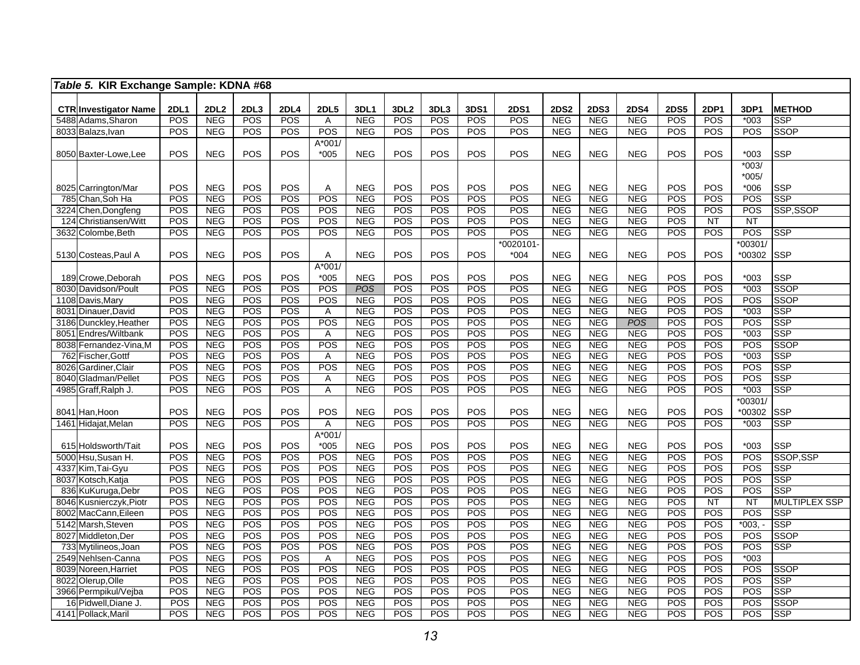|     | Table 5. KIR Exchange Sample: KDNA #68        |                   |                          |            |                         |                       |                          |                   |                   |             |                   |                          |                          |                          |                   |                    |                 |                          |
|-----|-----------------------------------------------|-------------------|--------------------------|------------|-------------------------|-----------------------|--------------------------|-------------------|-------------------|-------------|-------------------|--------------------------|--------------------------|--------------------------|-------------------|--------------------|-----------------|--------------------------|
|     |                                               |                   |                          |            |                         |                       |                          |                   |                   |             |                   |                          |                          |                          |                   |                    |                 |                          |
|     | <b>CTR Investigator Name</b>                  | <b>2DL1</b>       | <b>2DL2</b>              | 2DL3       | <b>2DL4</b><br>POS      | <b>2DL5</b>           | 3DL1                     | 3DL <sub>2</sub>  | 3DL3              | 3DS1<br>POS | <b>2DS1</b>       | <b>2DS2</b>              | <b>2DS3</b>              | <b>2DS4</b>              | <b>2DS5</b>       | <b>2DP1</b><br>POS | 3DP1            | <b>METHOD</b>            |
|     | 5488 Adams, Sharon<br>8033 Balazs, Ivan       | <b>POS</b><br>POS | <b>NEG</b><br>NEG        | POS<br>POS | POS                     | $\mathsf{A}$<br>POS   | <b>NEG</b><br><b>NEG</b> | <b>POS</b><br>POS | <b>POS</b><br>POS | POS         | <b>POS</b><br>POS | <b>NEG</b>               | <b>NEG</b><br><b>NEG</b> | <b>NEG</b><br><b>NEG</b> | <b>POS</b><br>POS | POS                | $*003$<br>POS   | SSP<br><b>SSOP</b>       |
|     |                                               |                   |                          |            |                         | $A*001/$              |                          |                   |                   |             |                   | <b>NEG</b>               |                          |                          |                   |                    |                 |                          |
|     | 8050 Baxter-Lowe, Lee                         | POS               | <b>NEG</b>               | POS        | POS                     | $*005$                | <b>NEG</b>               | POS               | POS               | POS         | POS               | <b>NEG</b>               | <b>NEG</b>               | <b>NEG</b>               | POS               | POS                | $*003$          | <b>SSP</b>               |
|     |                                               |                   |                          |            |                         |                       |                          |                   |                   |             |                   |                          |                          |                          |                   |                    | $*003/$         |                          |
|     |                                               |                   |                          |            |                         |                       |                          |                   |                   |             |                   |                          |                          |                          |                   |                    | $*005/$         |                          |
|     | 8025 Carrington/Mar                           | POS               | <b>NEG</b>               | POS        | POS                     | Α                     | <b>NEG</b>               | POS               | POS               | POS         | POS               | <b>NEG</b>               | <b>NEG</b>               | <b>NEG</b>               | POS               | POS                | $*006$          | <b>SSP</b>               |
|     | 785 Chan, Soh Ha                              | POS               | <b>NEG</b>               | POS        | POS                     | POS                   | <b>NEG</b>               | <b>POS</b>        | POS               | POS         | POS               | <b>NEG</b>               | <b>NEG</b>               | <b>NEG</b>               | POS               | POS                | POS             | SSP                      |
|     | 3224 Chen, Dongfeng                           | POS               | <b>NEG</b>               | POS        | POS                     | POS                   | <b>NEG</b>               | POS               | POS               | POS         | POS               | <b>NEG</b>               | <b>NEG</b>               | <b>NEG</b>               | POS               | POS                | POS             | SSP.SSOP                 |
|     | 124 Christiansen/Witt                         | POS               | NEG                      | POS        | $\overline{POS}$        | $\overline{POS}$      | NEG                      | POS               | POS               | POS         | POS               | NEG                      | NEG                      | NEG                      | POS               | $\overline{NT}$    | $\overline{NT}$ |                          |
|     | 3632 Colombe, Beth                            | POS               | <b>NEG</b>               | POS        | POS                     | POS                   | <b>NEG</b>               | $\overline{POS}$  | <b>POS</b>        | POS         | POS               | <b>NEG</b>               | <b>NEG</b>               | NEG                      | <b>POS</b>        | POS                | POS             | SSP                      |
|     |                                               |                   |                          |            |                         |                       |                          |                   |                   |             | $*0020101-$       |                          |                          |                          |                   |                    | *00301/         |                          |
|     | 5130 Costeas, Paul A                          | POS               | <b>NEG</b>               | POS        | POS                     | Α                     | <b>NEG</b>               | POS               | POS               | POS         | $*004$            | <b>NEG</b>               | <b>NEG</b>               | <b>NEG</b>               | POS               | POS                | *00302          | SSP                      |
|     |                                               |                   |                          |            |                         | A*001/                |                          |                   |                   |             |                   |                          |                          |                          |                   |                    |                 |                          |
|     | 189 Crowe, Deborah                            | POS               | <b>NEG</b>               | POS        | POS                     | $*005$                | <b>NEG</b>               | POS               | POS               | POS         | POS               | <b>NEG</b>               | <b>NEG</b>               | <b>NEG</b>               | POS               | POS                | $*003$          | <b>SSP</b>               |
|     | 8030 Davidson/Poult                           | <b>POS</b>        | <b>NEG</b>               | <b>POS</b> | POS                     | POS                   | <b>POS</b>               | <b>POS</b>        | POS               | POS         | POS               | <b>NEG</b>               | <b>NEG</b>               | <b>NEG</b>               | POS               | POS                | $*003$          | <b>SSOP</b>              |
|     | 1108 Davis, Mary                              | POS               | NEG                      | <b>POS</b> | POS                     | POS                   | <b>NEG</b>               | POS               | POS               | POS         | POS               | NEG                      | <b>NEG</b>               | <b>NEG</b>               | POS               | <b>POS</b>         | POS             | SSOP                     |
|     | 8031 Dinauer, David                           | POS               | <b>NEG</b>               | POS        | POS                     | $\mathsf{A}$          | <b>NEG</b>               | POS               | POS               | POS         | POS               | <b>NEG</b>               | <b>NEG</b>               | <b>NEG</b>               | POS<br>POS        | POS                | $*003$          | <b>SSP</b><br><b>SSP</b> |
|     | 3186 Dunckley, Heather                        | POS               | <b>NEG</b>               | POS        | POS                     | POS                   | <b>NEG</b>               | POS               | POS               | POS         | POS               | NEG                      | <b>NEG</b>               | <b>POS</b>               |                   | POS                | POS             | <b>SSP</b>               |
|     | 8051 Endres/Wiltbank<br>8038 Fernandez-Vina,M | POS<br>POS        | <b>NEG</b><br><b>NEG</b> | POS<br>POS | POS<br>$\overline{POS}$ | $\mathsf{A}$<br>POS   | <b>NEG</b><br><b>NEG</b> | POS<br>POS        | POS<br>POS        | POS<br>POS  | POS<br>POS        | <b>NEG</b><br><b>NEG</b> | <b>NEG</b><br><b>NEG</b> | <b>NEG</b><br><b>NEG</b> | POS<br>POS        | POS<br>POS         | $*003$<br>POS   | SSOP                     |
| 762 | Fischer, Gottf                                | POS               | <b>NEG</b>               | POS        | POS                     | Α                     | <b>NEG</b>               | <b>POS</b>        | POS               | POS         | POS               | <b>NEG</b>               | <b>NEG</b>               | <b>NEG</b>               | <b>POS</b>        | POS                | $*003$          | $\overline{\text{SSP}}$  |
|     | 8026 Gardiner, Clair                          | POS               | <b>NEG</b>               | POS        | <b>POS</b>              | POS                   | <b>NEG</b>               | POS               | POS               | POS         | POS               | <b>NEG</b>               | <b>NEG</b>               | <b>NEG</b>               | POS               | POS                | POS             | SSP                      |
|     | 8040 Gladman/Pellet                           | POS               | NEG                      | POS        | POS                     | $\overline{A}$        | <b>NEG</b>               | POS               | POS               | POS         | POS               | <b>NEG</b>               | <b>NEG</b>               | <b>NEG</b>               | POS               | POS                | POS             | SSP                      |
|     | 4985 Graff,Ralph J.                           | POS               | <b>NEG</b>               | POS        | POS                     | A                     | <b>NEG</b>               | POS               | POS               | POS         | POS               | <b>NEG</b>               | <b>NEG</b>               | <b>NEG</b>               | POS               | POS                | $*003$          | SSP                      |
|     |                                               |                   |                          |            |                         |                       |                          |                   |                   |             |                   |                          |                          |                          |                   |                    | $*00301$        |                          |
|     | 8041 Han, Hoon                                | POS               | <b>NEG</b>               | POS        | POS                     | POS                   | <b>NEG</b>               | POS               | POS               | POS         | POS               | <b>NEG</b>               | <b>NEG</b>               | <b>NEG</b>               | POS               | POS                | *00302          | <b>SSP</b>               |
|     | 1461 Hidajat, Melan                           | POS               | <b>NEG</b>               | POS        | <b>POS</b>              | Α                     | NEG                      | POS               | POS               | POS         | POS               | <b>NEG</b>               | <b>NEG</b>               | <b>NEG</b>               | POS               | POS                | $*003$          | <b>SSP</b>               |
|     |                                               |                   |                          |            |                         | A*001/                |                          |                   |                   |             |                   |                          |                          |                          |                   |                    |                 |                          |
|     | 615 Holdsworth/Tait                           | POS               | <b>NEG</b>               | POS        | POS                     | $*005$                | <b>NEG</b>               | <b>POS</b>        | POS               | POS         | POS               | <b>NEG</b>               | <b>NEG</b>               | <b>NEG</b>               | POS               | POS                | $*003$          | <b>SSP</b>               |
|     | 5000 Hsu.Susan H.                             | POS               | <b>NEG</b>               | POS        | POS                     | POS                   | <b>NEG</b>               | POS               | POS               | POS         | POS               | <b>NEG</b>               | <b>NEG</b>               | <b>NEG</b>               | POS               | POS                | POS             | SSOP, SSP                |
|     | 4337 Kim,Tai-Gyu                              | POS               | NEG                      | POS        | POS                     | POS                   | <b>NEG</b>               | POS               | POS               | POS         | POS               | <b>NEG</b>               | <b>NEG</b>               | <b>NEG</b>               | POS               | POS                | POS             | SSP                      |
|     | 8037 Kotsch, Katja                            | POS               | <b>NEG</b>               | POS        | $\overline{POS}$        | POS                   | <b>NEG</b>               | POS               | POS               | POS         | POS               | <b>NEG</b>               | <b>NEG</b>               | <b>NEG</b>               | POS               | POS                | POS             | SSP                      |
|     | 836 KuKuruga, Debr                            | POS               | <b>NEG</b>               | POS        | POS                     | POS                   | <b>NEG</b>               | POS               | POS               | POS         | POS               | <b>NEG</b>               | <b>NEG</b>               | <b>NEG</b>               | <b>POS</b>        | POS                | POS             | SSP                      |
|     | 8046 Kusnierczyk, Piotr                       | POS               | <b>NEG</b>               | POS        | POS                     | POS                   | <b>NEG</b>               | POS               | POS               | POS         | POS               | <b>NEG</b>               | <b>NEG</b>               | <b>NEG</b>               | <b>POS</b>        | <b>NT</b>          | $\overline{NT}$ | <b>MULTIPLEX SSP</b>     |
|     | 8002 MacCann, Eileen                          | <b>POS</b>        | <b>NEG</b>               | POS        | <b>POS</b>              | POS                   | <b>NEG</b>               | POS               | <b>POS</b>        | POS         | POS               | <b>NEG</b>               | <b>NEG</b>               | <b>NEG</b>               | POS               | POS                | <b>POS</b>      | <b>SSP</b>               |
|     | 5142 Marsh, Steven                            | POS               | <b>NEG</b>               | POS        | POS                     | POS                   | <b>NEG</b>               | POS               | POS               | POS         | POS               | <b>NEG</b>               | <b>NEG</b>               | <b>NEG</b>               | POS               | POS                | $*003, -$       | SSP                      |
|     | 8027 Middleton, Der                           | POS               | <b>NEG</b>               | POS        | POS                     | POS                   | <b>NEG</b>               | <b>POS</b>        | POS               | POS         | POS               | <b>NEG</b>               | <b>NEG</b>               | <b>NEG</b>               | POS               | POS                | POS             | <b>SSOP</b>              |
|     | 733 Mytilineos, Joan                          | <b>POS</b>        | <b>NEG</b>               | POS        | POS                     | POS                   | <b>NEG</b>               | POS               | POS               | POS         | POS               | <b>NEG</b>               | <b>NEG</b>               | <b>NEG</b>               | POS               | POS                | POS             | <b>SSP</b>               |
|     | 2549 Nehlsen-Canna                            | POS<br>POS        | <b>NEG</b><br>NEG        | POS<br>POS | POS<br>POS              | $\overline{A}$<br>POS | <b>NEG</b><br><b>NEG</b> | POS<br>POS        | <b>POS</b><br>POS | POS<br>POS  | POS<br>POS        | <b>NEG</b><br><b>NEG</b> | <b>NEG</b><br><b>NEG</b> | <b>NEG</b><br><b>NEG</b> | POS<br>POS        | POS<br>POS         | $*003$<br>POS   | <b>SSOP</b>              |
|     | 8039 Noreen, Harriet                          |                   |                          |            |                         |                       |                          |                   |                   |             |                   |                          |                          |                          |                   |                    | POS             | <b>SSP</b>               |
|     | 8022 Olerup, Olle<br>3966 Permpikul/Vejba     | POS<br>POS        | <b>NEG</b><br><b>NEG</b> | POS<br>POS | POS<br>POS              | POS<br>POS            | <b>NEG</b><br><b>NEG</b> | POS<br>POS        | POS<br>POS        | POS<br>POS  | POS<br>POS        | <b>NEG</b><br><b>NEG</b> | <b>NEG</b><br><b>NEG</b> | <b>NEG</b><br><b>NEG</b> | POS<br>POS        | POS<br>POS         | POS             | <b>SSP</b>               |
|     | 16 Pidwell, Diane J.                          | POS               | <b>NEG</b>               | POS        | POS                     | POS                   | <b>NEG</b>               | POS               | POS               | POS         | POS               | <b>NEG</b>               | <b>NEG</b>               | <b>NEG</b>               | POS               | POS                | POS             | <b>SSOP</b>              |
|     | 4141 Pollack, Maril                           | POS               | <b>NEG</b>               | POS        | $\overline{POS}$        | $\overline{POS}$      | NEG                      | POS               | $\overline{POS}$  | POS         | POS               | NEG                      | <b>NEG</b>               | <b>NEG</b>               | POS               | POS                | POS             | <b>SSP</b>               |
|     |                                               |                   |                          |            |                         |                       |                          |                   |                   |             |                   |                          |                          |                          |                   |                    |                 |                          |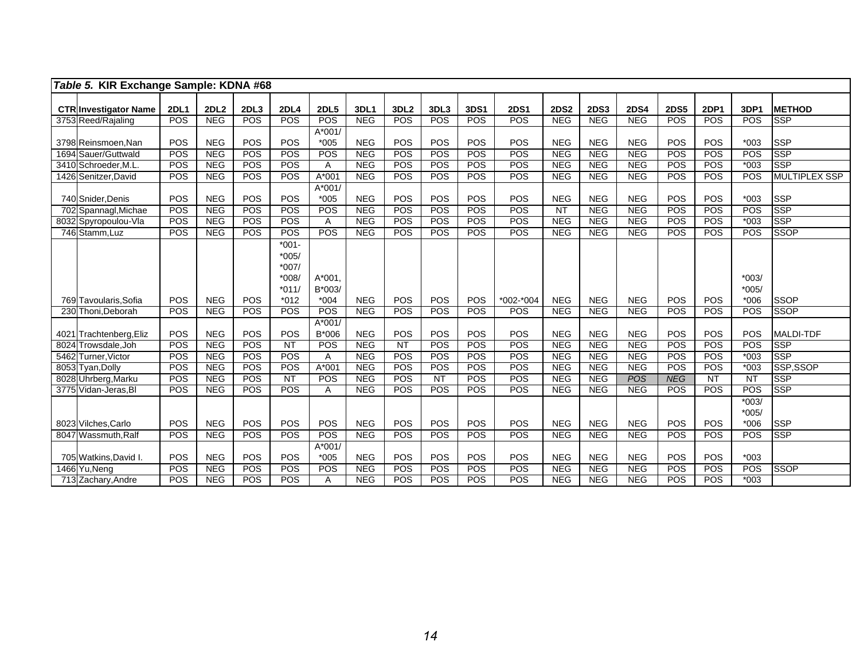| Table 5. KIR Exchange Sample: KDNA #68       |             |                          |            |                               |                    |                   |                  |            |                   |             |                               |                   |                   |             |             |                    |                          |
|----------------------------------------------|-------------|--------------------------|------------|-------------------------------|--------------------|-------------------|------------------|------------|-------------------|-------------|-------------------------------|-------------------|-------------------|-------------|-------------|--------------------|--------------------------|
| <b>CTR Investigator Name</b>                 | <b>2DL1</b> | 2DL <sub>2</sub>         | 2DL3       | 2DL4                          | <b>2DL5</b>        | 3DL1              | 3DL <sub>2</sub> | 3DL3       | 3DS1              | <b>2DS1</b> | <b>2DS2</b>                   | <b>2DS3</b>       | <b>2DS4</b>       | <b>2DS5</b> | <b>2DP1</b> | 3DP1               | <b>METHOD</b>            |
| 3753 Reed/Rajaling                           | POS         | <b>NEG</b>               | <b>POS</b> | <b>POS</b>                    | POS                | <b>NEG</b>        | POS              | <b>POS</b> | POS               | POS         | NEG                           | <b>NEG</b>        | NEG               | POS         | POS         | POS                | <b>SSP</b>               |
| 3798 Reinsmoen, Nan                          | POS         | <b>NEG</b>               | POS        | POS                           | $A*001/$<br>$*005$ | <b>NEG</b>        | POS              | POS        | POS               | POS         | <b>NEG</b>                    | <b>NEG</b>        | <b>NEG</b>        | POS         | POS         | $*003$             | <b>SSP</b>               |
| 1694 Sauer/Guttwald                          | POS         | <b>NEG</b>               | POS        | <b>POS</b>                    | POS                | <b>NEG</b>        | <b>POS</b>       | <b>POS</b> | POS               | POS         | NEG                           | <b>NEG</b>        | NEG               | POS         | POS         | POS                | <b>SSP</b>               |
| 3410 Schroeder, M.L.                         | POS         | <b>NEG</b>               | POS        | <b>POS</b>                    | Α                  | NEG               | POS              | POS        | POS               | POS         | NEG                           | <b>NEG</b>        | NEG               | POS         | POS         | $*003$             | <b>SSP</b>               |
| 1426 Senitzer, David                         | POS         | <b>NEG</b>               | <b>POS</b> | <b>POS</b>                    | A*001              | <b>NEG</b>        | POS              | <b>POS</b> | <b>POS</b>        | POS         | <b>NEG</b>                    | <b>NEG</b>        | <b>NEG</b>        | POS         | POS         | POS                | <b>MULTIPLEX SSP</b>     |
|                                              |             |                          |            |                               | $A*001/$           |                   |                  |            |                   |             |                               |                   |                   |             |             |                    |                          |
| 740 Snider, Denis                            | POS<br>POS  | <b>NEG</b><br><b>NEG</b> | POS<br>POS | POS<br>POS                    | $*005$<br>POS      | <b>NEG</b><br>NEG | POS<br>POS       | POS<br>POS | POS               | POS<br>POS  | <b>NEG</b><br>$\overline{NT}$ | <b>NEG</b><br>NEG | <b>NEG</b><br>NEG | POS<br>POS  | POS<br>POS  | $*003$<br>POS      | <b>SSP</b><br><b>SSP</b> |
| 702 Spannagl, Michae<br>8032 Spyropoulou-Vla | POS         | NEG                      | <b>POS</b> | <b>POS</b>                    |                    | <b>NEG</b>        | POS              | <b>POS</b> | POS<br><b>POS</b> | POS         | <b>NEG</b>                    | <b>NEG</b>        | NEG               | POS         | POS         | $*003$             | <b>SSP</b>               |
| 746 Stamm, Luz                               | POS         | NEG                      | <b>POS</b> | <b>POS</b>                    | Α<br>POS           | NEG               | POS              | <b>POS</b> | <b>POS</b>        | POS         | <b>NEG</b>                    | NEG               | NEG               | <b>POS</b>  | POS         | POS                | <b>SSOP</b>              |
|                                              |             |                          |            | $*001 -$                      |                    |                   |                  |            |                   |             |                               |                   |                   |             |             |                    |                          |
|                                              |             |                          |            | $*005/$<br>$*007/$<br>$*008/$ | $A*001$            |                   |                  |            |                   |             |                               |                   |                   |             |             | $*003/$            |                          |
| 769 Tavoularis, Sofia                        | POS         | <b>NEG</b>               | POS        | $*011/$<br>$*012$             | $B*003/$<br>$*004$ | <b>NEG</b>        | POS              | <b>POS</b> | POS               | *002-*004   | <b>NEG</b>                    | <b>NEG</b>        | <b>NEG</b>        | POS         | POS         | $*005/$<br>$*006$  | <b>SSOP</b>              |
| 230 Thoni, Deborah                           | POS         | <b>NEG</b>               | <b>POS</b> | <b>POS</b>                    | POS                | <b>NEG</b>        | POS              | <b>POS</b> | POS               | POS         | NEG                           | NEG               | NEG               | <b>POS</b>  | POS         | POS                | <b>SSOP</b>              |
| 4021 Trachtenberg, Eliz                      | POS         | <b>NEG</b>               | <b>POS</b> | POS                           | $A*001/$<br>B*006  | <b>NEG</b>        | POS              | POS        | POS               | POS         | <b>NEG</b>                    | <b>NEG</b>        | <b>NEG</b>        | POS         | POS         | POS                | <b>MALDI-TDF</b>         |
| 8024 Trowsdale, Joh                          | POS         | NEG                      | POS        | $\overline{NT}$               | POS                | <b>NEG</b>        | $\overline{NT}$  | <b>POS</b> | POS               | POS         | NEG                           | <b>NEG</b>        | NEG               | POS         | POS         | POS                | <b>SSP</b>               |
| 5462 Turner, Victor                          | POS         | NEG                      | POS        | <b>POS</b>                    | A                  | NEG               | POS              | <b>POS</b> | POS               | POS         | NEG                           | <b>NEG</b>        | NEG               | POS         | POS         | $*003$             | <b>SSP</b>               |
| 8053 Tyan, Dolly                             | POS         | <b>NEG</b>               | POS        | <b>POS</b>                    | A*001              | <b>NEG</b>        | POS              | <b>POS</b> | POS               | POS         | <b>NEG</b>                    | NEG               | NEG               | POS         | POS         | $*003$             | SSP,SSOP                 |
| 8028 Uhrberg, Marku                          | POS         | NEG                      | <b>POS</b> | NT                            | <b>POS</b>         | <b>NEG</b>        | POS              | NT         | POS               | POS         | <b>NEG</b>                    | <b>NEG</b>        | <b>POS</b>        | <b>NEG</b>  | NT          | $\overline{NT}$    | <b>SSP</b>               |
| 3775 Vidan-Jeras, Bl                         | POS         | NEG                      | <b>POS</b> | <b>POS</b>                    | A                  | NEG               | POS              | POS        | POS               | POS         | <b>NEG</b>                    | <b>NEG</b>        | NEG               | POS         | POS         | POS                | <b>SSP</b>               |
|                                              |             |                          |            |                               |                    |                   |                  |            |                   |             |                               |                   |                   |             |             | $*003/$<br>$*005/$ |                          |
| 8023 Vilches, Carlo                          | POS         | <b>NEG</b>               | POS        | POS                           | POS                | <b>NEG</b>        | POS              | POS        | POS               | POS         | <b>NEG</b>                    | <b>NEG</b>        | <b>NEG</b>        | POS         | POS         | $*006$             | <b>SSP</b>               |
| 8047 Wassmuth.Ralf                           | POS         | NEG                      | POS        | POS                           | POS                | NEG               | POS              | POS        | POS               | POS         | <b>NEG</b>                    | <b>NEG</b>        | <b>NEG</b>        | POS         | POS         | POS                | <b>SSP</b>               |
| 705 Watkins, David I.                        | POS         | <b>NEG</b>               | POS        | <b>POS</b>                    | $A*001/$<br>$*005$ | <b>NEG</b>        | POS              | POS        | POS               | POS         | <b>NEG</b>                    | <b>NEG</b>        | <b>NEG</b>        | POS         | POS         | $*003$             |                          |
| 1466 Yu, Neng                                | POS         | <b>NEG</b>               | POS        | POS                           | POS                | <b>NEG</b>        | POS              | POS        | POS               | POS         | <b>NEG</b>                    | <b>NEG</b>        | <b>NEG</b>        | POS         | POS         | POS                | <b>SSOP</b>              |
| 713 Zachary, Andre                           | POS         | NEG                      | POS        | <b>POS</b>                    | A                  | NEG               | POS              | POS        | POS               | POS         | NEG                           | NEG               | <b>NEG</b>        | POS         | POS         | $*003$             |                          |